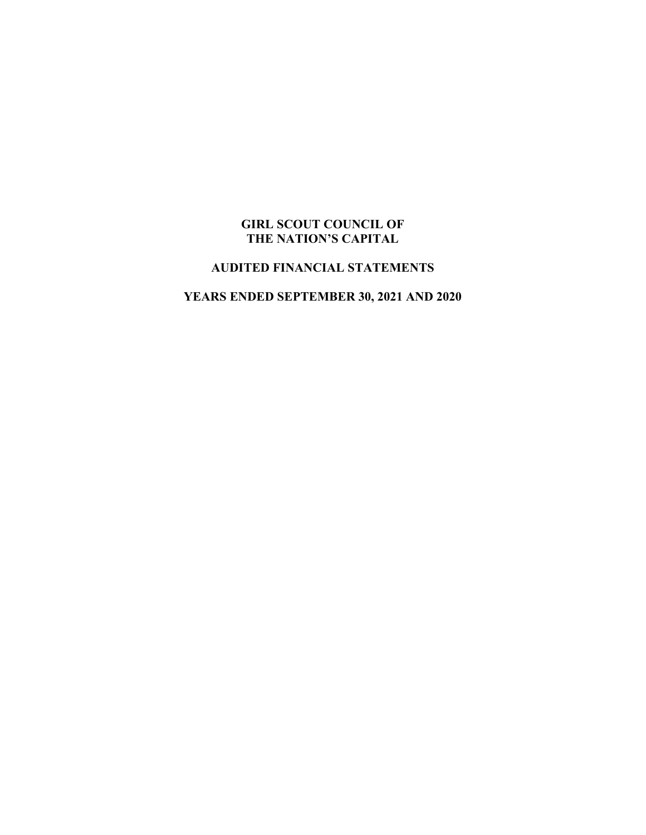### **GIRL SCOUT COUNCIL OF THE NATION'S CAPITAL**

### **AUDITED FINANCIAL STATEMENTS**

### **YEARS ENDED SEPTEMBER 30, 2021 AND 2020**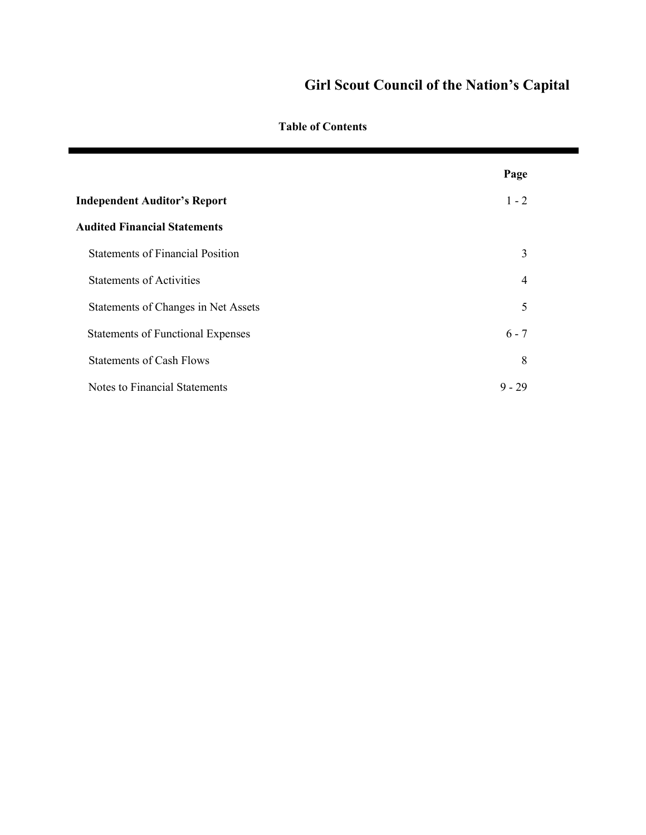**Table of Contents**

|                                          | Page           |
|------------------------------------------|----------------|
| <b>Independent Auditor's Report</b>      | $1 - 2$        |
| <b>Audited Financial Statements</b>      |                |
| <b>Statements of Financial Position</b>  | 3              |
| <b>Statements of Activities</b>          | $\overline{4}$ |
| Statements of Changes in Net Assets      | 5              |
| <b>Statements of Functional Expenses</b> | $6 - 7$        |
| <b>Statements of Cash Flows</b>          | 8              |
| Notes to Financial Statements            | $9 - 29$       |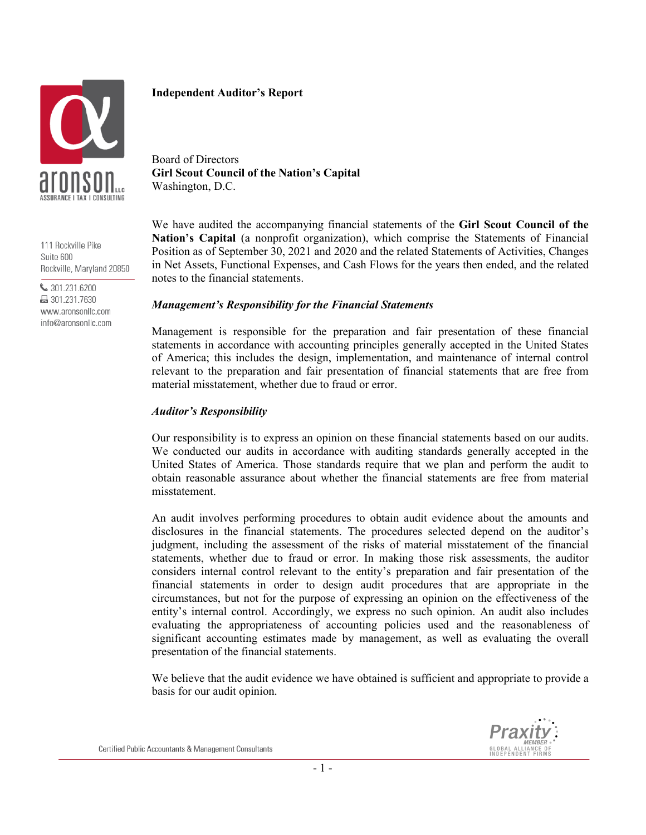

111 Rockville Pike Suite 600 Rockville, Maryland 20850

₩ 301.231.6200 ■ 301.231.7630 www.aronsonllc.com info@aronsonllc.com

### **Independent Auditor's Report**

Board of Directors **Girl Scout Council of the Nation's Capital** Washington, D.C.

We have audited the accompanying financial statements of the **Girl Scout Council of the Nation's Capital** (a nonprofit organization), which comprise the Statements of Financial Position as of September 30, 2021 and 2020 and the related Statements of Activities, Changes in Net Assets, Functional Expenses, and Cash Flows for the years then ended, and the related notes to the financial statements.

#### *Management's Responsibility for the Financial Statements*

Management is responsible for the preparation and fair presentation of these financial statements in accordance with accounting principles generally accepted in the United States of America; this includes the design, implementation, and maintenance of internal control relevant to the preparation and fair presentation of financial statements that are free from material misstatement, whether due to fraud or error.

#### *Auditor's Responsibility*

Our responsibility is to express an opinion on these financial statements based on our audits. We conducted our audits in accordance with auditing standards generally accepted in the United States of America. Those standards require that we plan and perform the audit to obtain reasonable assurance about whether the financial statements are free from material misstatement.

An audit involves performing procedures to obtain audit evidence about the amounts and disclosures in the financial statements. The procedures selected depend on the auditor's judgment, including the assessment of the risks of material misstatement of the financial statements, whether due to fraud or error. In making those risk assessments, the auditor considers internal control relevant to the entity's preparation and fair presentation of the financial statements in order to design audit procedures that are appropriate in the circumstances, but not for the purpose of expressing an opinion on the effectiveness of the entity's internal control. Accordingly, we express no such opinion. An audit also includes evaluating the appropriateness of accounting policies used and the reasonableness of significant accounting estimates made by management, as well as evaluating the overall presentation of the financial statements.

We believe that the audit evidence we have obtained is sufficient and appropriate to provide a basis for our audit opinion.

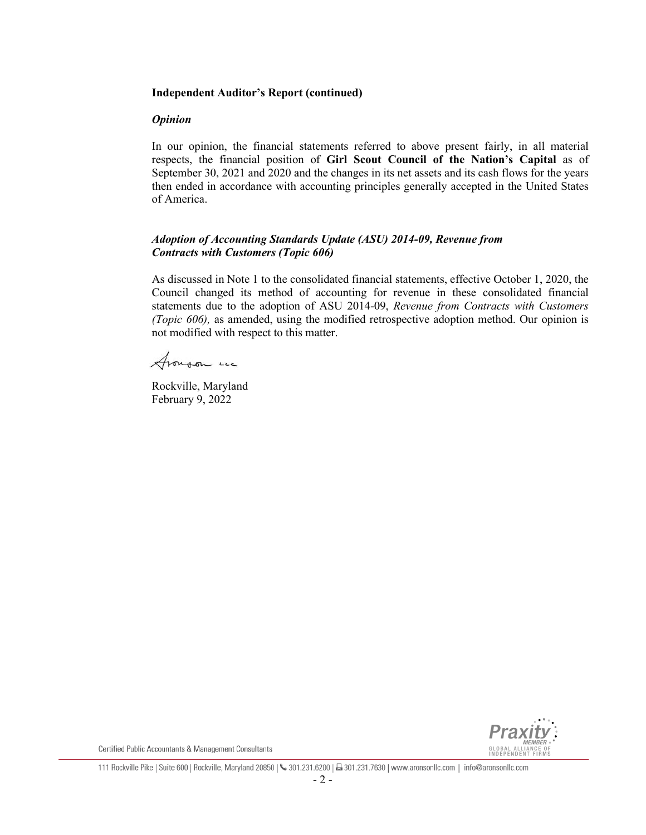### **Independent Auditor's Report (continued)**

### *Opinion*

In our opinion, the financial statements referred to above present fairly, in all material respects, the financial position of **Girl Scout Council of the Nation's Capital** as of September 30, 2021 and 2020 and the changes in its net assets and its cash flows for the years then ended in accordance with accounting principles generally accepted in the United States of America.

### *Adoption of Accounting Standards Update (ASU) 2014-09, Revenue from Contracts with Customers (Topic 606)*

As discussed in Note 1 to the consolidated financial statements, effective October 1, 2020, the Council changed its method of accounting for revenue in these consolidated financial statements due to the adoption of ASU 2014-09, *Revenue from Contracts with Customers (Topic 606),* as amended, using the modified retrospective adoption method. Our opinion is not modified with respect to this matter.

Aronson un

Rockville, Maryland February 9, 2022



Certified Public Accountants & Management Consultants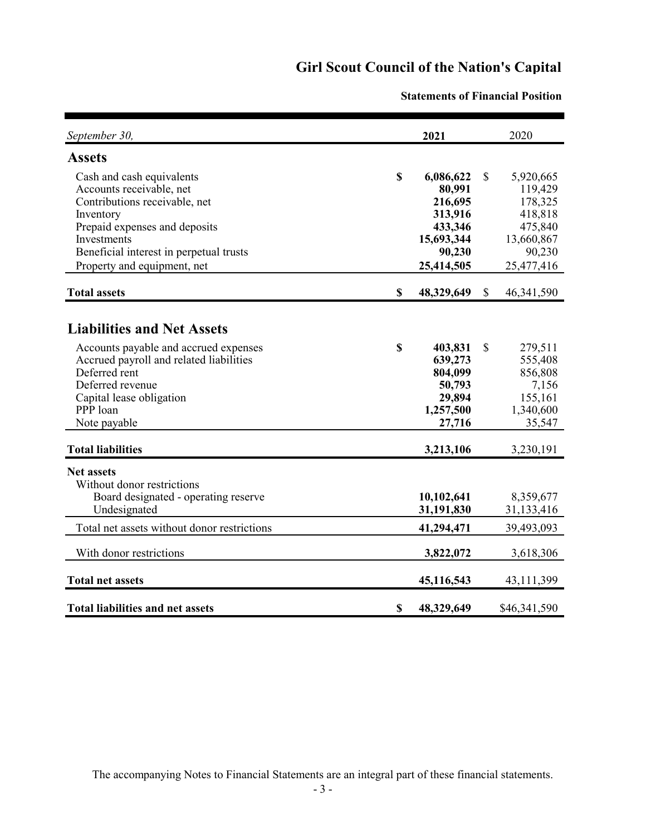| September 30,                                                                                                                                                                                                                 |             | 2021                                                                                       |               | 2020                                                                                        |
|-------------------------------------------------------------------------------------------------------------------------------------------------------------------------------------------------------------------------------|-------------|--------------------------------------------------------------------------------------------|---------------|---------------------------------------------------------------------------------------------|
| <b>Assets</b>                                                                                                                                                                                                                 |             |                                                                                            |               |                                                                                             |
| Cash and cash equivalents<br>Accounts receivable, net<br>Contributions receivable, net<br>Inventory<br>Prepaid expenses and deposits<br>Investments<br>Beneficial interest in perpetual trusts<br>Property and equipment, net | \$          | 6,086,622<br>80,991<br>216,695<br>313,916<br>433,346<br>15,693,344<br>90,230<br>25,414,505 | \$            | 5,920,665<br>119,429<br>178,325<br>418,818<br>475,840<br>13,660,867<br>90,230<br>25,477,416 |
| <b>Total assets</b>                                                                                                                                                                                                           | \$          | 48,329,649                                                                                 | \$            | 46, 341, 590                                                                                |
| <b>Liabilities and Net Assets</b><br>Accounts payable and accrued expenses<br>Accrued payroll and related liabilities<br>Deferred rent<br>Deferred revenue<br>Capital lease obligation<br>PPP loan<br>Note payable            | $\mathbf S$ | 403,831<br>639,273<br>804,099<br>50,793<br>29,894<br>1,257,500<br>27,716                   | $\mathcal{S}$ | 279,511<br>555,408<br>856,808<br>7,156<br>155,161<br>1,340,600<br>35,547                    |
| <b>Total liabilities</b>                                                                                                                                                                                                      |             | 3,213,106                                                                                  |               | 3,230,191                                                                                   |
| <b>Net assets</b><br>Without donor restrictions<br>Board designated - operating reserve<br>Undesignated                                                                                                                       |             | 10,102,641<br>31,191,830                                                                   |               | 8,359,677<br>31,133,416                                                                     |
| Total net assets without donor restrictions                                                                                                                                                                                   |             | 41,294,471                                                                                 |               | 39,493,093                                                                                  |
| With donor restrictions                                                                                                                                                                                                       |             | 3,822,072                                                                                  |               | 3,618,306                                                                                   |
| <b>Total net assets</b>                                                                                                                                                                                                       |             | 45,116,543                                                                                 |               | 43, 111, 399                                                                                |
| <b>Total liabilities and net assets</b>                                                                                                                                                                                       | \$          | 48,329,649                                                                                 |               | \$46,341,590                                                                                |

#### **Statements of Financial Position**

The accompanying Notes to Financial Statements are an integral part of these financial statements.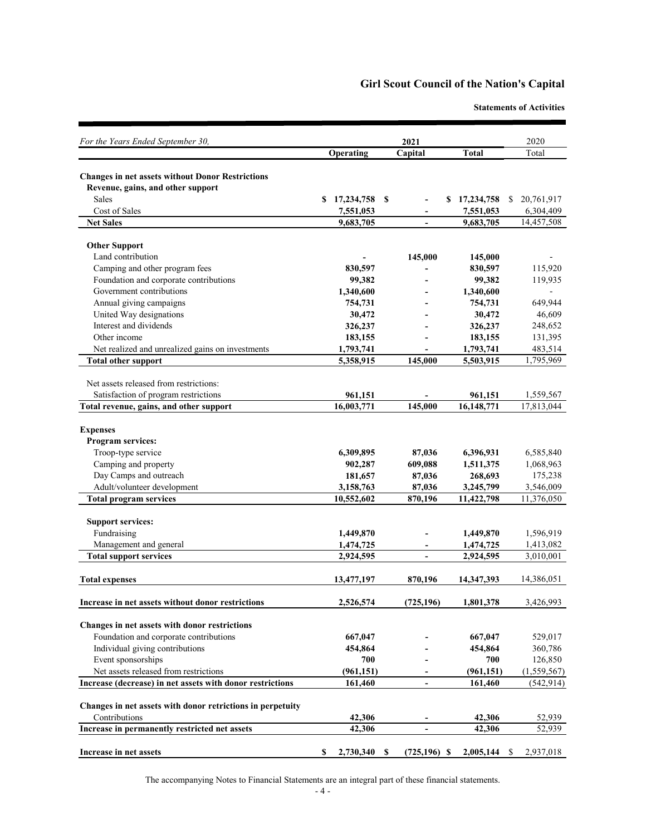**Statements of Activities**

| For the Years Ended September 30,                          |                              | 2021                                         |                         | 2020                                    |  |
|------------------------------------------------------------|------------------------------|----------------------------------------------|-------------------------|-----------------------------------------|--|
|                                                            | Operating                    | Capital                                      | <b>Total</b>            | Total                                   |  |
|                                                            |                              |                                              |                         |                                         |  |
| <b>Changes in net assets without Donor Restrictions</b>    |                              |                                              |                         |                                         |  |
| Revenue, gains, and other support<br>Sales                 |                              |                                              |                         |                                         |  |
| Cost of Sales                                              | 17,234,758<br>S<br>7,551,053 | $\mathbf{\$}$<br>\$                          | 17,234,758<br>7,551,053 | 20,761,917<br><sup>S</sup><br>6,304,409 |  |
| <b>Net Sales</b>                                           | 9,683,705                    | $\blacksquare$                               | 9,683,705               | 14,457,508                              |  |
|                                                            |                              |                                              |                         |                                         |  |
| <b>Other Support</b>                                       |                              |                                              |                         |                                         |  |
| Land contribution                                          |                              | 145,000                                      | 145,000                 |                                         |  |
| Camping and other program fees                             | 830,597                      |                                              | 830,597                 | 115,920                                 |  |
| Foundation and corporate contributions                     | 99,382                       |                                              | 99,382                  | 119,935                                 |  |
| Government contributions                                   | 1,340,600                    |                                              | 1,340,600               |                                         |  |
| Annual giving campaigns                                    | 754,731                      |                                              | 754,731                 | 649,944                                 |  |
| United Way designations                                    | 30,472                       |                                              | 30,472                  | 46,609                                  |  |
| Interest and dividends                                     | 326,237                      |                                              | 326,237                 | 248,652                                 |  |
| Other income                                               | 183,155                      |                                              | 183,155                 | 131,395                                 |  |
| Net realized and unrealized gains on investments           | 1,793,741                    |                                              | 1,793,741               | 483,514                                 |  |
| <b>Total other support</b>                                 | 5,358,915                    | 145,000                                      | 5,503,915               | 1,795,969                               |  |
|                                                            |                              |                                              |                         |                                         |  |
| Net assets released from restrictions:                     |                              |                                              |                         |                                         |  |
| Satisfaction of program restrictions                       | 961,151                      |                                              | 961,151                 | 1,559,567                               |  |
| Total revenue, gains, and other support                    | 16,003,771                   | 145,000                                      | 16,148,771              | 17,813,044                              |  |
| <b>Expenses</b>                                            |                              |                                              |                         |                                         |  |
| <b>Program services:</b>                                   |                              |                                              |                         |                                         |  |
| Troop-type service                                         | 6,309,895                    | 87,036                                       | 6,396,931               | 6,585,840                               |  |
| Camping and property                                       | 902,287                      | 609,088                                      | 1,511,375               | 1,068,963                               |  |
| Day Camps and outreach                                     | 181,657                      | 87,036                                       | 268,693                 | 175,238                                 |  |
| Adult/volunteer development                                | 3,158,763                    | 87,036                                       | 3,245,799               | 3,546,009                               |  |
| <b>Total program services</b>                              | 10,552,602                   | 870,196                                      | 11,422,798              | 11,376,050                              |  |
|                                                            |                              |                                              |                         |                                         |  |
| <b>Support services:</b>                                   |                              |                                              |                         |                                         |  |
| Fundraising                                                | 1,449,870                    |                                              | 1,449,870               | 1,596,919                               |  |
| Management and general                                     | 1,474,725                    |                                              | 1,474,725               | 1,413,082                               |  |
| <b>Total support services</b>                              | 2,924,595                    | $\blacksquare$                               | 2,924,595               | 3,010,001                               |  |
|                                                            |                              |                                              |                         |                                         |  |
| <b>Total expenses</b>                                      | 13,477,197                   | 870,196                                      | 14,347,393              | 14,386,051                              |  |
| Increase in net assets without donor restrictions          | 2,526,574                    | (725, 196)                                   | 1,801,378               | 3,426,993                               |  |
|                                                            |                              |                                              |                         |                                         |  |
| Changes in net assets with donor restrictions              |                              |                                              |                         |                                         |  |
| Foundation and corporate contributions                     | 667,047                      |                                              | 667,047                 | 529,017                                 |  |
| Individual giving contributions                            | 454,864                      |                                              | 454,864                 | 360,786                                 |  |
| Event sponsorships                                         | 700                          |                                              | 700                     | 126,850                                 |  |
| Net assets released from restrictions                      | (961, 151)                   |                                              | (961, 151)              | (1,559,567)                             |  |
| Increase (decrease) in net assets with donor restrictions  | 161,460                      | $\blacksquare$                               | 161,460                 | (542, 914)                              |  |
|                                                            |                              |                                              |                         |                                         |  |
| Changes in net assets with donor retrictions in perpetuity |                              |                                              |                         |                                         |  |
| Contributions                                              | 42,306                       |                                              | 42,306                  | 52,939                                  |  |
| Increase in permanently restricted net assets              | 42,306                       | $\blacksquare$                               | 42,306                  | 52,939                                  |  |
|                                                            |                              |                                              |                         |                                         |  |
| Increase in net assets                                     | 2,730,340<br>\$              | $(725, 196)$ \$<br>$\boldsymbol{\mathsf{S}}$ | 2,005,144               | 2,937,018<br><sup>\$</sup>              |  |

The accompanying Notes to Financial Statements are an integral part of these financial statements.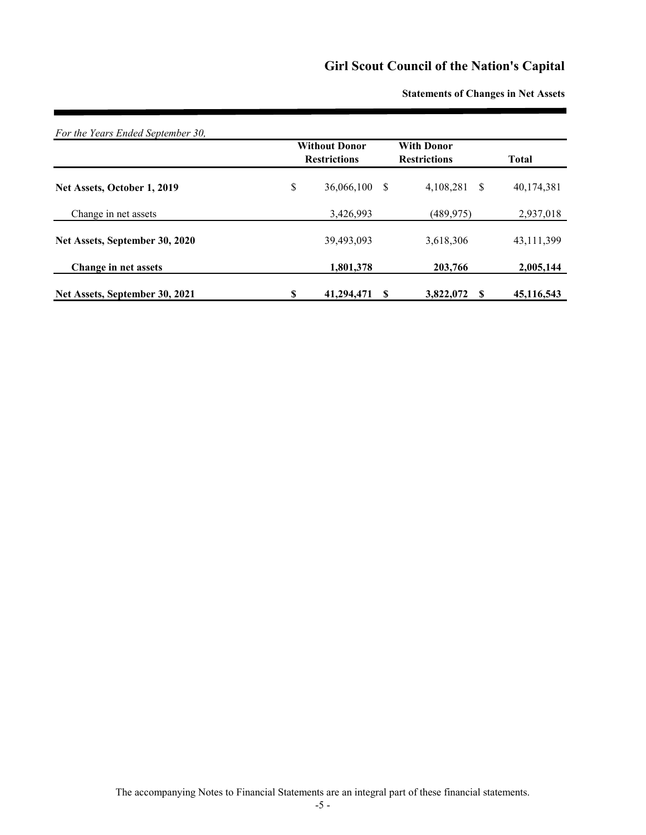|                                |    | <b>Without Donor</b><br><b>Restrictions</b> |    | <b>With Donor</b><br><b>Restrictions</b> | <b>Total</b> |
|--------------------------------|----|---------------------------------------------|----|------------------------------------------|--------------|
| Net Assets, October 1, 2019    | \$ | 36,066,100                                  | \$ | 4,108,281<br>-S                          | 40,174,381   |
| Change in net assets           |    | 3,426,993                                   |    | (489, 975)                               | 2,937,018    |
| Net Assets, September 30, 2020 |    | 39,493,093                                  |    | 3,618,306                                | 43,111,399   |
| Change in net assets           |    | 1,801,378                                   |    | 203,766                                  | 2,005,144    |
| Net Assets, September 30, 2021 | S  | 41,294,471                                  | S  | 3,822,072<br>S                           | 45,116,543   |

**Statements of Changes in Net Assets**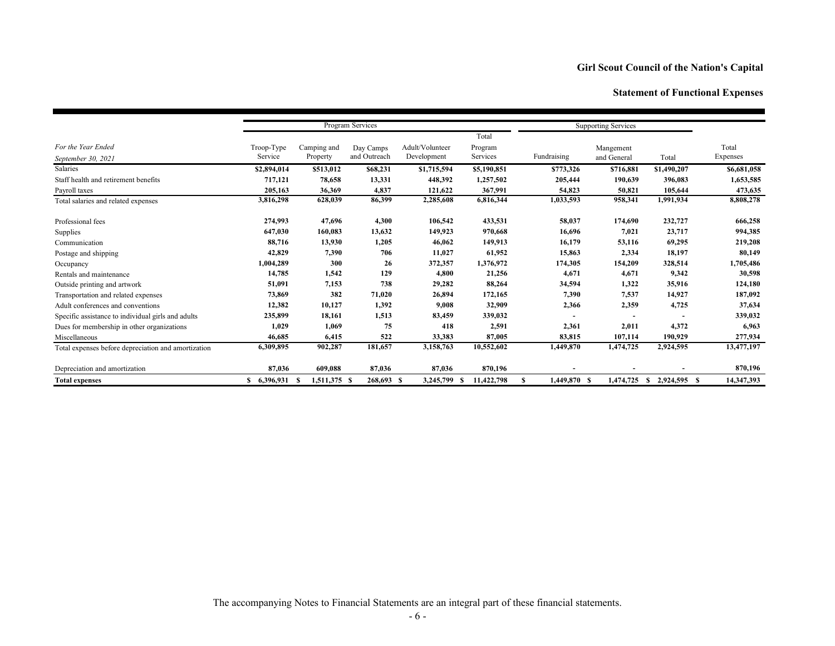### **Statement of Functional Expenses**

|                                                     |             |              |              |                  | Program Services |                   |             | <b>Supporting Services</b> |             |  |  |
|-----------------------------------------------------|-------------|--------------|--------------|------------------|------------------|-------------------|-------------|----------------------------|-------------|--|--|
|                                                     |             |              |              |                  | Total            |                   |             |                            |             |  |  |
| For the Year Ended                                  | Troop-Type  | Camping and  | Day Camps    | Adult/Volunteer  | Program          |                   | Mangement   |                            | Total       |  |  |
| September 30, 2021                                  | Service     | Property     | and Outreach | Development      | Services         | Fundraising       | and General | Total                      | Expenses    |  |  |
| Salaries                                            | \$2,894,014 | \$513,012    | \$68,231     | \$1,715,594      | \$5,190,851      | \$773,326         | \$716,881   | \$1,490,207                | \$6,681,058 |  |  |
| Staff health and retirement benefits                | 717,121     | 78,658       | 13,331       | 448,392          | 1,257,502        | 205,444           | 190,639     | 396,083                    | 1,653,585   |  |  |
| Payroll taxes                                       | 205,163     | 36,369       | 4,837        | 121,622          | 367,991          | 54,823            | 50,821      | 105,644                    | 473,635     |  |  |
| Total salaries and related expenses                 | 3,816,298   | 628,039      | 86,399       | 2,285,608        | 6,816,344        | 1,033,593         | 958,341     | 1,991,934                  | 8,808,278   |  |  |
| Professional fees                                   | 274,993     | 47,696       | 4,300        | 106,542          | 433,531          | 58,037            | 174,690     | 232,727                    | 666,258     |  |  |
| Supplies                                            | 647,030     | 160,083      | 13,632       | 149,923          | 970,668          | 16,696            | 7,021       | 23,717                     | 994,385     |  |  |
| Communication                                       | 88,716      | 13,930       | 1,205        | 46,062           | 149,913          | 16,179            | 53,116      | 69,295                     | 219,208     |  |  |
| Postage and shipping                                | 42,829      | 7,390        | 706          | 11,027           | 61,952           | 15,863            | 2,334       | 18,197                     | 80,149      |  |  |
| Occupancy                                           | 1,004,289   | 300          | 26           | 372,357          | 1,376,972        | 174,305           | 154,209     | 328,514                    | 1,705,486   |  |  |
| Rentals and maintenance                             | 14,785      | 1,542        | 129          | 4,800            | 21,256           | 4,671             | 4,671       | 9,342                      | 30,598      |  |  |
| Outside printing and artwork                        | 51,091      | 7,153        | 738          | 29,282           | 88,264           | 34,594            | 1,322       | 35,916                     | 124,180     |  |  |
| Transportation and related expenses                 | 73,869      | 382          | 71,020       | 26,894           | 172,165          | 7,390             | 7,537       | 14,927                     | 187,092     |  |  |
| Adult conferences and conventions                   | 12,382      | 10,127       | 1,392        | 9,008            | 32,909           | 2,366             | 2,359       | 4,725                      | 37,634      |  |  |
| Specific assistance to individual girls and adults  | 235,899     | 18,161       | 1,513        | 83,459           | 339,032          |                   |             |                            | 339,032     |  |  |
| Dues for membership in other organizations          | 1,029       | 1,069        | 75           | 418              | 2,591            | 2,361             | 2,011       | 4,372                      | 6,963       |  |  |
| Miscellaneous                                       | 46,685      | 6,415        | 522          | 33,383           | 87,005           | 83,815            | 107,114     | 190,929                    | 277,934     |  |  |
| Total expenses before depreciation and amortization | 6,309,895   | 902,287      | 181,657      | 3,158,763        | 10,552,602       | 1,449,870         | 1,474,725   | 2,924,595                  | 13,477,197  |  |  |
| Depreciation and amortization                       | 87.036      | 609,088      | 87,036       | 87,036           | 870,196          |                   |             |                            | 870,196     |  |  |
| <b>Total expenses</b>                               | \$6,396,931 | 1,511,375 \$ | 268,693 \$   | 3,245,799<br>-SS | 11,422,798       | 1,449,870 \$<br>S | 1,474,725   | 2,924,595 \$<br>-S         | 14,347,393  |  |  |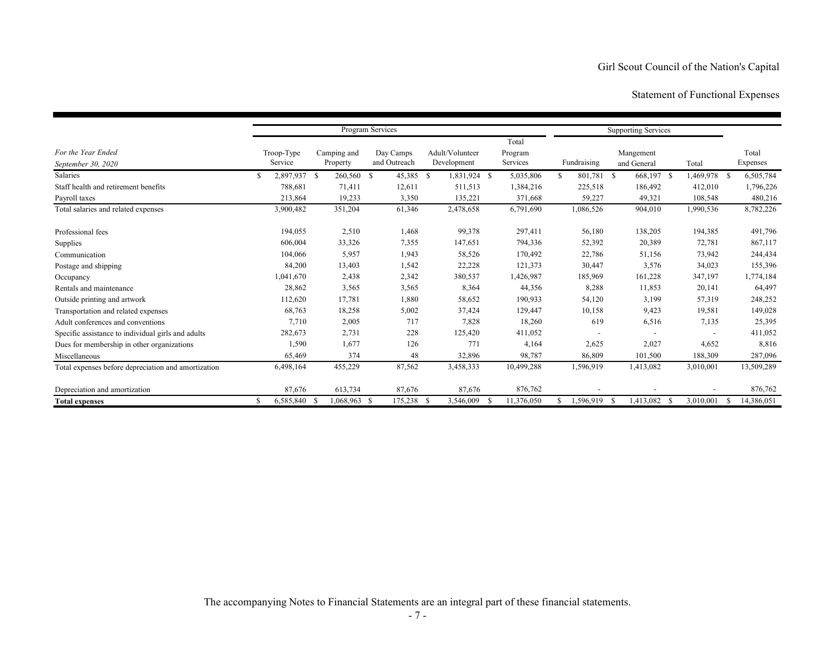### Statement of Functional Expenses

|                                                     |                       |                         | Program Services          |                                |                              |             | <b>Supporting Services</b> |              |                   |
|-----------------------------------------------------|-----------------------|-------------------------|---------------------------|--------------------------------|------------------------------|-------------|----------------------------|--------------|-------------------|
| For the Year Ended<br>September 30, 2020            | Troop-Type<br>Service | Camping and<br>Property | Day Camps<br>and Outreach | Adult/Volunteer<br>Development | Total<br>Program<br>Services | Fundraising | Mangement<br>and General   | Total        | Total<br>Expenses |
| Salaries                                            | 2,897,937 \$<br>S     | 260,560                 | 45,385<br>-S              | 1,831,924 \$<br>- S            | 5,035,806                    | 801,781     | 668,197 \$<br>-S           | 1,469,978 \$ | 6,505,784         |
| Staff health and retirement benefits                | 788,681               | 71,411                  | 12,611                    | 511,513                        | 1,384,216                    | 225,518     | 186,492                    | 412,010      | 1,796,226         |
| Payroll taxes                                       | 213,864               | 19,233                  | 3,350                     | 135,221                        | 371,668                      | 59,227      | 49,321                     | 108,548      | 480,216           |
| Total salaries and related expenses                 | 3,900,482             | 351,204                 | 61,346                    | 2,478,658                      | 6,791,690                    | 1,086,526   | 904,010                    | 1,990,536    | 8,782,226         |
| Professional fees                                   | 194,055               | 2,510                   | 1,468                     | 99,378                         | 297,411                      | 56,180      | 138,205                    | 194,385      | 491,796           |
| Supplies                                            | 606,004               | 33,326                  | 7,355                     | 147,651                        | 794,336                      | 52,392      | 20,389                     | 72,781       | 867,117           |
| Communication                                       | 104,066               | 5,957                   | 1,943                     | 58,526                         | 170,492                      | 22,786      | 51,156                     | 73,942       | 244,434           |
| Postage and shipping                                | 84,200                | 13,403                  | 1,542                     | 22,228                         | 121,373                      | 30,447      | 3,576                      | 34,023       | 155,396           |
| Occupancy                                           | 1,041,670             | 2,438                   | 2,342                     | 380,537                        | 1,426,987                    | 185,969     | 161,228                    | 347,197      | 1,774,184         |
| Rentals and maintenance                             | 28,862                | 3,565                   | 3,565                     | 8,364                          | 44,356                       | 8,288       | 11,853                     | 20,141       | 64,497            |
| Outside printing and artwork                        | 112,620               | 17,781                  | 1,880                     | 58,652                         | 190,933                      | 54,120      | 3,199                      | 57,319       | 248,252           |
| Transportation and related expenses                 | 68,763                | 18,258                  | 5,002                     | 37,424                         | 129,447                      | 10,158      | 9,423                      | 19,581       | 149,028           |
| Adult conferences and conventions                   | 7,710                 | 2,005                   | 717                       | 7,828                          | 18,260                       | 619         | 6,516                      | 7,135        | 25,395            |
| Specific assistance to individual girls and adults  | 282,673               | 2,731                   | 228                       | 125,420                        | 411,052                      |             |                            |              | 411,052           |
| Dues for membership in other organizations          | 1,590                 | 1,677                   | 126                       | 771                            | 4,164                        | 2,625       | 2,027                      | 4,652        | 8,816             |
| Miscellaneous                                       | 65,469                | 374                     | 48                        | 32,896                         | 98,787                       | 86,809      | 101,500                    | 188,309      | 287,096           |
| Total expenses before depreciation and amortization | 6,498,164             | 455,229                 | 87,562                    | 3,458,333                      | 10,499,288                   | 1,596,919   | 1,413,082                  | 3,010,001    | 13,509,289        |
| Depreciation and amortization                       | 87,676                | 613,734                 | 87,676                    | 87,676                         | 876,762                      |             |                            |              | 876,762           |
| <b>Total expenses</b>                               | 6,585,840<br>S        | 1,068,963 \$            | 175,238 \$                | 3,546,009                      | 11,376,050                   | 1.596.919   | 1,413,082<br>- \$<br>- \$  | 3,010,001    | 14,386,051<br>-S  |

The accompanying Notes to Financial Statements are an integral part of these financial statements.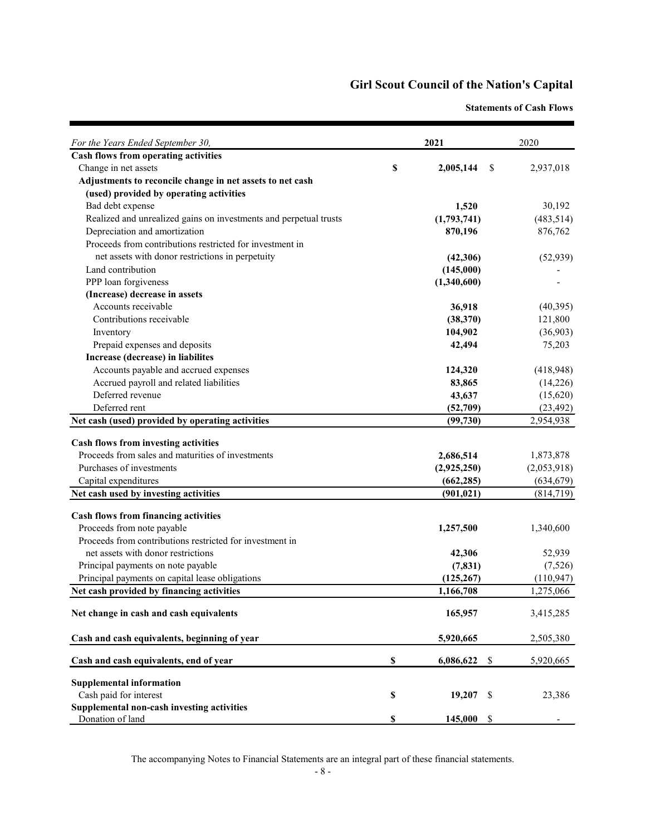**Statements of Cash Flows**

| For the Years Ended September 30,                                 |                           | 2021                                  | 2020        |
|-------------------------------------------------------------------|---------------------------|---------------------------------------|-------------|
| Cash flows from operating activities                              |                           |                                       |             |
| Change in net assets                                              | \$                        | 2,005,144<br>\$                       | 2,937,018   |
| Adjustments to reconcile change in net assets to net cash         |                           |                                       |             |
| (used) provided by operating activities                           |                           |                                       |             |
| Bad debt expense                                                  |                           | 1,520                                 | 30,192      |
| Realized and unrealized gains on investments and perpetual trusts |                           | (1,793,741)                           | (483, 514)  |
| Depreciation and amortization                                     |                           | 870,196                               | 876,762     |
| Proceeds from contributions restricted for investment in          |                           |                                       |             |
| net assets with donor restrictions in perpetuity                  |                           | (42,306)                              | (52, 939)   |
| Land contribution                                                 |                           | (145,000)                             |             |
| PPP loan forgiveness                                              |                           | (1,340,600)                           |             |
| (Increase) decrease in assets                                     |                           |                                       |             |
| Accounts receivable                                               |                           | 36,918                                | (40,395)    |
| Contributions receivable                                          |                           | (38,370)                              | 121,800     |
| Inventory                                                         |                           | 104,902                               | (36,903)    |
| Prepaid expenses and deposits                                     |                           | 42,494                                | 75,203      |
| Increase (decrease) in liabilites                                 |                           |                                       |             |
| Accounts payable and accrued expenses                             |                           | 124,320                               | (418, 948)  |
| Accrued payroll and related liabilities                           |                           | 83,865                                | (14,226)    |
| Deferred revenue                                                  |                           | 43,637                                | (15,620)    |
| Deferred rent                                                     |                           | (52,709)                              | (23, 492)   |
| Net cash (used) provided by operating activities                  |                           | (99, 730)                             | 2,954,938   |
| <b>Cash flows from investing activities</b>                       |                           |                                       |             |
| Proceeds from sales and maturities of investments                 |                           | 2,686,514                             | 1,873,878   |
| Purchases of investments                                          |                           | (2,925,250)                           | (2,053,918) |
| Capital expenditures                                              |                           | (662, 285)                            | (634, 679)  |
| Net cash used by investing activities                             |                           | (901, 021)                            | (814, 719)  |
| <b>Cash flows from financing activities</b>                       |                           |                                       |             |
| Proceeds from note payable                                        |                           | 1,257,500                             | 1,340,600   |
| Proceeds from contributions restricted for investment in          |                           |                                       |             |
| net assets with donor restrictions                                |                           | 42,306                                | 52,939      |
| Principal payments on note payable                                |                           | (7, 831)                              | (7,526)     |
| Principal payments on capital lease obligations                   |                           | (125, 267)                            | (110, 947)  |
| Net cash provided by financing activities                         |                           | 1,166,708                             | 1,275,066   |
|                                                                   |                           |                                       | 3,415,285   |
| Net change in cash and cash equivalents                           |                           | 165,957                               |             |
| Cash and cash equivalents, beginning of year                      |                           | 5,920,665                             | 2,505,380   |
| Cash and cash equivalents, end of year                            | $\boldsymbol{\mathsf{S}}$ | 6,086,622<br>\$                       | 5,920,665   |
| <b>Supplemental information</b>                                   |                           |                                       |             |
| Cash paid for interest                                            | \$                        | 19,207<br>- \$                        | 23,386      |
| Supplemental non-cash investing activities                        |                           |                                       |             |
| Donation of land                                                  | \$                        | $\boldsymbol{\mathcal{S}}$<br>145,000 |             |

The accompanying Notes to Financial Statements are an integral part of these financial statements.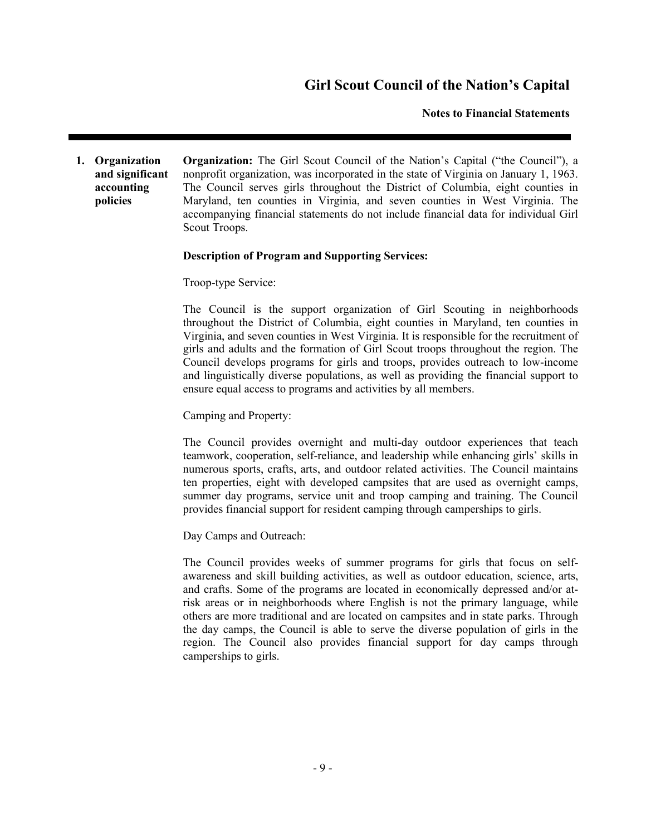#### **Notes to Financial Statements**

**1. Organization and significant accounting policies Organization:** The Girl Scout Council of the Nation's Capital ("the Council"), a nonprofit organization, was incorporated in the state of Virginia on January 1, 1963. The Council serves girls throughout the District of Columbia, eight counties in Maryland, ten counties in Virginia, and seven counties in West Virginia. The accompanying financial statements do not include financial data for individual Girl Scout Troops.

#### **Description of Program and Supporting Services:**

Troop-type Service:

The Council is the support organization of Girl Scouting in neighborhoods throughout the District of Columbia, eight counties in Maryland, ten counties in Virginia, and seven counties in West Virginia. It is responsible for the recruitment of girls and adults and the formation of Girl Scout troops throughout the region. The Council develops programs for girls and troops, provides outreach to low-income and linguistically diverse populations, as well as providing the financial support to ensure equal access to programs and activities by all members.

Camping and Property:

The Council provides overnight and multi-day outdoor experiences that teach teamwork, cooperation, self-reliance, and leadership while enhancing girls' skills in numerous sports, crafts, arts, and outdoor related activities. The Council maintains ten properties, eight with developed campsites that are used as overnight camps, summer day programs, service unit and troop camping and training. The Council provides financial support for resident camping through camperships to girls.

Day Camps and Outreach:

The Council provides weeks of summer programs for girls that focus on selfawareness and skill building activities, as well as outdoor education, science, arts, and crafts. Some of the programs are located in economically depressed and/or atrisk areas or in neighborhoods where English is not the primary language, while others are more traditional and are located on campsites and in state parks. Through the day camps, the Council is able to serve the diverse population of girls in the region. The Council also provides financial support for day camps through camperships to girls.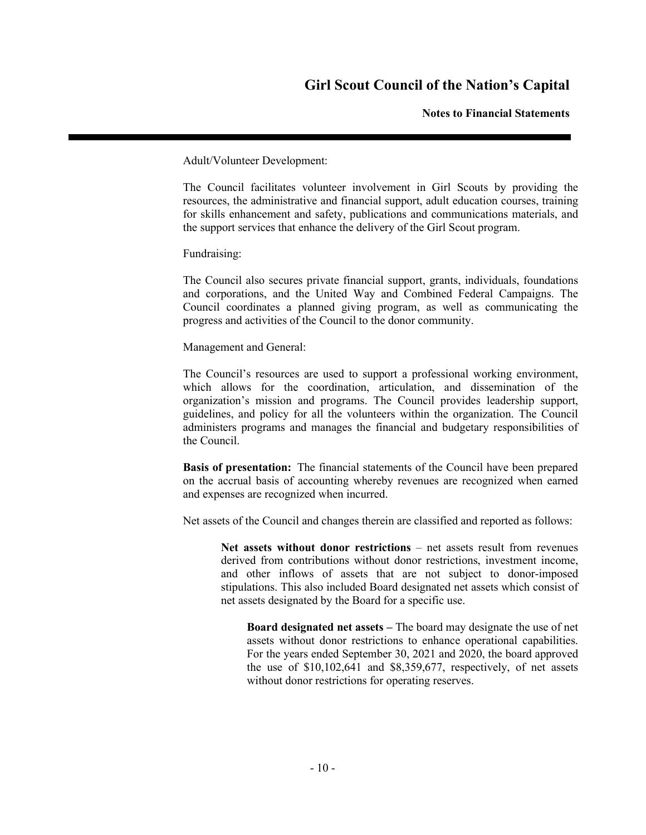**Notes to Financial Statements**

Adult/Volunteer Development:

The Council facilitates volunteer involvement in Girl Scouts by providing the resources, the administrative and financial support, adult education courses, training for skills enhancement and safety, publications and communications materials, and the support services that enhance the delivery of the Girl Scout program.

Fundraising:

The Council also secures private financial support, grants, individuals, foundations and corporations, and the United Way and Combined Federal Campaigns. The Council coordinates a planned giving program, as well as communicating the progress and activities of the Council to the donor community.

Management and General:

The Council's resources are used to support a professional working environment, which allows for the coordination, articulation, and dissemination of the organization's mission and programs. The Council provides leadership support, guidelines, and policy for all the volunteers within the organization. The Council administers programs and manages the financial and budgetary responsibilities of the Council.

**Basis of presentation:** The financial statements of the Council have been prepared on the accrual basis of accounting whereby revenues are recognized when earned and expenses are recognized when incurred.

Net assets of the Council and changes therein are classified and reported as follows:

**Net assets without donor restrictions** – net assets result from revenues derived from contributions without donor restrictions, investment income, and other inflows of assets that are not subject to donor-imposed stipulations. This also included Board designated net assets which consist of net assets designated by the Board for a specific use.

**Board designated net assets –** The board may designate the use of net assets without donor restrictions to enhance operational capabilities. For the years ended September 30, 2021 and 2020, the board approved the use of \$10,102,641 and \$8,359,677, respectively, of net assets without donor restrictions for operating reserves.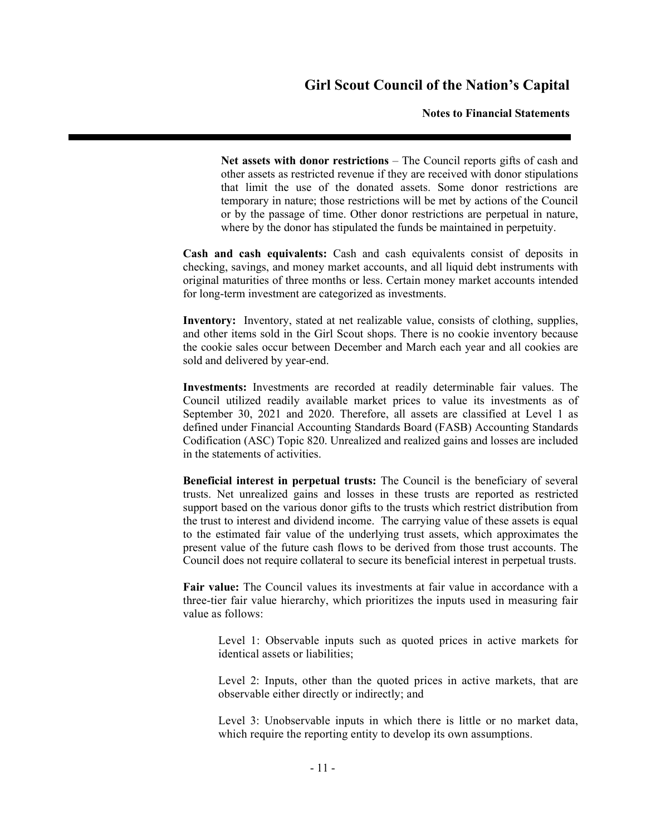#### **Notes to Financial Statements**

**Net assets with donor restrictions** – The Council reports gifts of cash and other assets as restricted revenue if they are received with donor stipulations that limit the use of the donated assets. Some donor restrictions are temporary in nature; those restrictions will be met by actions of the Council or by the passage of time. Other donor restrictions are perpetual in nature, where by the donor has stipulated the funds be maintained in perpetuity.

**Cash and cash equivalents:** Cash and cash equivalents consist of deposits in checking, savings, and money market accounts, and all liquid debt instruments with original maturities of three months or less. Certain money market accounts intended for long-term investment are categorized as investments.

**Inventory:** Inventory, stated at net realizable value, consists of clothing, supplies, and other items sold in the Girl Scout shops. There is no cookie inventory because the cookie sales occur between December and March each year and all cookies are sold and delivered by year-end.

**Investments:** Investments are recorded at readily determinable fair values. The Council utilized readily available market prices to value its investments as of September 30, 2021 and 2020. Therefore, all assets are classified at Level 1 as defined under Financial Accounting Standards Board (FASB) Accounting Standards Codification (ASC) Topic 820. Unrealized and realized gains and losses are included in the statements of activities.

**Beneficial interest in perpetual trusts:** The Council is the beneficiary of several trusts. Net unrealized gains and losses in these trusts are reported as restricted support based on the various donor gifts to the trusts which restrict distribution from the trust to interest and dividend income. The carrying value of these assets is equal to the estimated fair value of the underlying trust assets, which approximates the present value of the future cash flows to be derived from those trust accounts. The Council does not require collateral to secure its beneficial interest in perpetual trusts.

**Fair value:** The Council values its investments at fair value in accordance with a three-tier fair value hierarchy, which prioritizes the inputs used in measuring fair value as follows:

Level 1: Observable inputs such as quoted prices in active markets for identical assets or liabilities;

Level 2: Inputs, other than the quoted prices in active markets, that are observable either directly or indirectly; and

Level 3: Unobservable inputs in which there is little or no market data, which require the reporting entity to develop its own assumptions.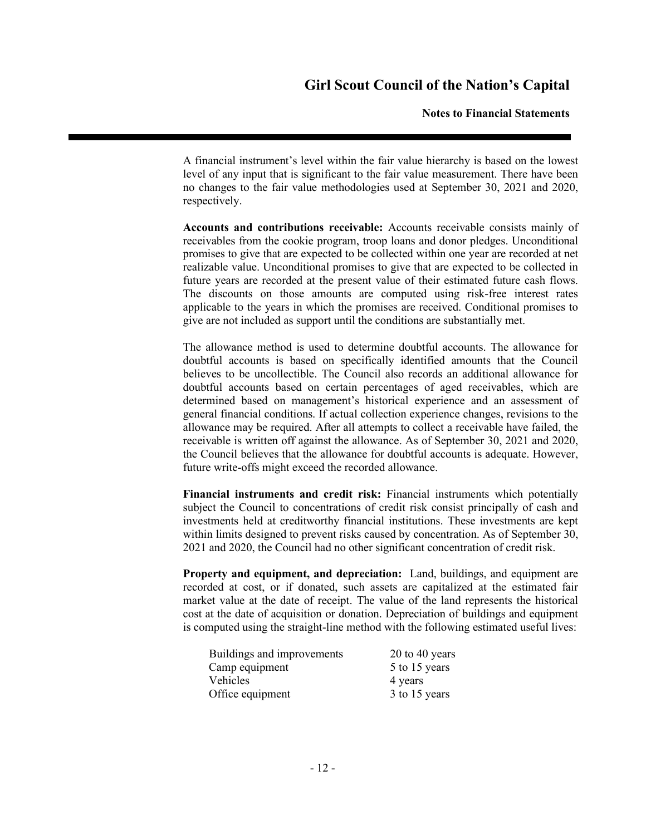#### **Notes to Financial Statements**

A financial instrument's level within the fair value hierarchy is based on the lowest level of any input that is significant to the fair value measurement. There have been no changes to the fair value methodologies used at September 30, 2021 and 2020, respectively.

**Accounts and contributions receivable:** Accounts receivable consists mainly of receivables from the cookie program, troop loans and donor pledges. Unconditional promises to give that are expected to be collected within one year are recorded at net realizable value. Unconditional promises to give that are expected to be collected in future years are recorded at the present value of their estimated future cash flows. The discounts on those amounts are computed using risk-free interest rates applicable to the years in which the promises are received. Conditional promises to give are not included as support until the conditions are substantially met.

The allowance method is used to determine doubtful accounts. The allowance for doubtful accounts is based on specifically identified amounts that the Council believes to be uncollectible. The Council also records an additional allowance for doubtful accounts based on certain percentages of aged receivables, which are determined based on management's historical experience and an assessment of general financial conditions. If actual collection experience changes, revisions to the allowance may be required. After all attempts to collect a receivable have failed, the receivable is written off against the allowance. As of September 30, 2021 and 2020, the Council believes that the allowance for doubtful accounts is adequate. However, future write-offs might exceed the recorded allowance.

**Financial instruments and credit risk:** Financial instruments which potentially subject the Council to concentrations of credit risk consist principally of cash and investments held at creditworthy financial institutions. These investments are kept within limits designed to prevent risks caused by concentration. As of September 30, 2021 and 2020, the Council had no other significant concentration of credit risk.

**Property and equipment, and depreciation:** Land, buildings, and equipment are recorded at cost, or if donated, such assets are capitalized at the estimated fair market value at the date of receipt. The value of the land represents the historical cost at the date of acquisition or donation. Depreciation of buildings and equipment is computed using the straight-line method with the following estimated useful lives:

| Buildings and improvements | $20$ to 40 years |
|----------------------------|------------------|
| Camp equipment             | 5 to 15 years    |
| Vehicles                   | 4 years          |
| Office equipment           | 3 to 15 years    |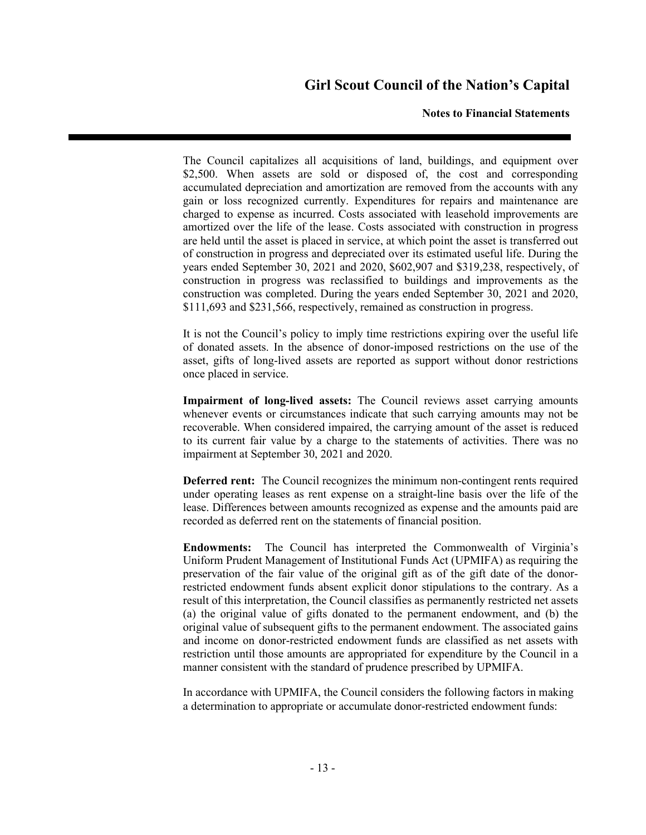#### **Notes to Financial Statements**

The Council capitalizes all acquisitions of land, buildings, and equipment over \$2,500. When assets are sold or disposed of, the cost and corresponding accumulated depreciation and amortization are removed from the accounts with any gain or loss recognized currently. Expenditures for repairs and maintenance are charged to expense as incurred. Costs associated with leasehold improvements are amortized over the life of the lease. Costs associated with construction in progress are held until the asset is placed in service, at which point the asset is transferred out of construction in progress and depreciated over its estimated useful life. During the years ended September 30, 2021 and 2020, \$602,907 and \$319,238, respectively, of construction in progress was reclassified to buildings and improvements as the construction was completed. During the years ended September 30, 2021 and 2020, \$111,693 and \$231,566, respectively, remained as construction in progress.

It is not the Council's policy to imply time restrictions expiring over the useful life of donated assets. In the absence of donor-imposed restrictions on the use of the asset, gifts of long-lived assets are reported as support without donor restrictions once placed in service.

**Impairment of long-lived assets:** The Council reviews asset carrying amounts whenever events or circumstances indicate that such carrying amounts may not be recoverable. When considered impaired, the carrying amount of the asset is reduced to its current fair value by a charge to the statements of activities. There was no impairment at September 30, 2021 and 2020.

**Deferred rent:** The Council recognizes the minimum non-contingent rents required under operating leases as rent expense on a straight-line basis over the life of the lease. Differences between amounts recognized as expense and the amounts paid are recorded as deferred rent on the statements of financial position.

**Endowments:** The Council has interpreted the Commonwealth of Virginia's Uniform Prudent Management of Institutional Funds Act (UPMIFA) as requiring the preservation of the fair value of the original gift as of the gift date of the donorrestricted endowment funds absent explicit donor stipulations to the contrary. As a result of this interpretation, the Council classifies as permanently restricted net assets (a) the original value of gifts donated to the permanent endowment, and (b) the original value of subsequent gifts to the permanent endowment. The associated gains and income on donor-restricted endowment funds are classified as net assets with restriction until those amounts are appropriated for expenditure by the Council in a manner consistent with the standard of prudence prescribed by UPMIFA.

In accordance with UPMIFA, the Council considers the following factors in making a determination to appropriate or accumulate donor-restricted endowment funds: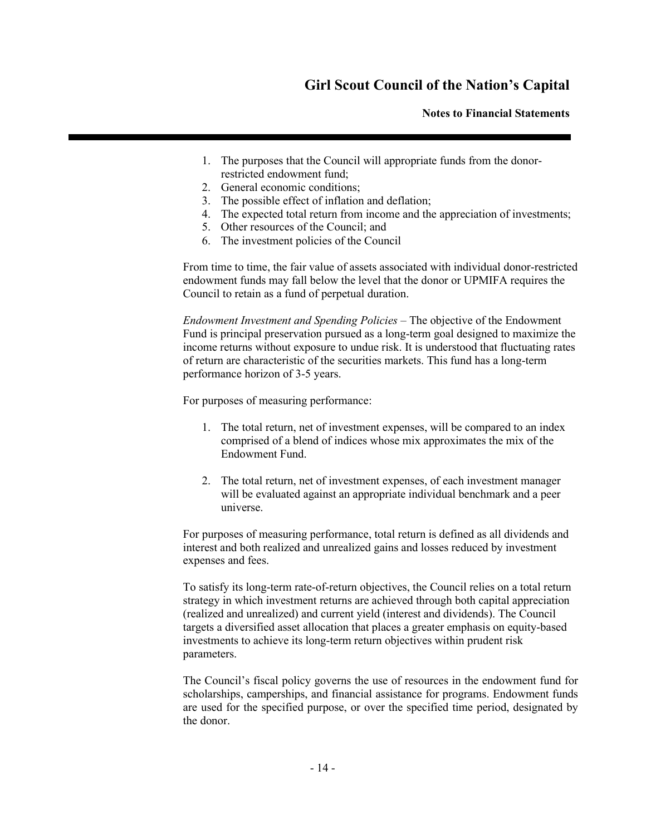**Notes to Financial Statements**

- 1. The purposes that the Council will appropriate funds from the donorrestricted endowment fund;
- 2. General economic conditions;
- 3. The possible effect of inflation and deflation;
- 4. The expected total return from income and the appreciation of investments;
- 5. Other resources of the Council; and
- 6. The investment policies of the Council

From time to time, the fair value of assets associated with individual donor-restricted endowment funds may fall below the level that the donor or UPMIFA requires the Council to retain as a fund of perpetual duration.

*Endowment Investment and Spending Policies* – The objective of the Endowment Fund is principal preservation pursued as a long-term goal designed to maximize the income returns without exposure to undue risk. It is understood that fluctuating rates of return are characteristic of the securities markets. This fund has a long-term performance horizon of 3-5 years.

For purposes of measuring performance:

- 1. The total return, net of investment expenses, will be compared to an index comprised of a blend of indices whose mix approximates the mix of the Endowment Fund.
- 2. The total return, net of investment expenses, of each investment manager will be evaluated against an appropriate individual benchmark and a peer universe.

For purposes of measuring performance, total return is defined as all dividends and interest and both realized and unrealized gains and losses reduced by investment expenses and fees.

To satisfy its long-term rate-of-return objectives, the Council relies on a total return strategy in which investment returns are achieved through both capital appreciation (realized and unrealized) and current yield (interest and dividends). The Council targets a diversified asset allocation that places a greater emphasis on equity-based investments to achieve its long-term return objectives within prudent risk parameters.

The Council's fiscal policy governs the use of resources in the endowment fund for scholarships, camperships, and financial assistance for programs. Endowment funds are used for the specified purpose, or over the specified time period, designated by the donor.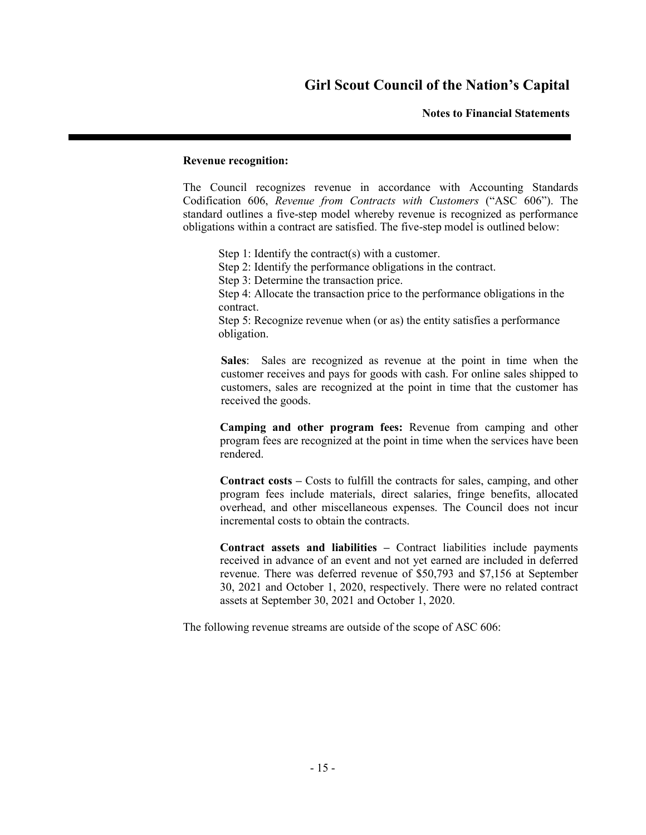#### **Notes to Financial Statements**

#### **Revenue recognition:**

The Council recognizes revenue in accordance with Accounting Standards Codification 606, *Revenue from Contracts with Customers* ("ASC 606"). The standard outlines a five-step model whereby revenue is recognized as performance obligations within a contract are satisfied. The five-step model is outlined below:

Step 1: Identify the contract(s) with a customer.

Step 2: Identify the performance obligations in the contract.

Step 3: Determine the transaction price.

Step 4: Allocate the transaction price to the performance obligations in the contract.

Step 5: Recognize revenue when (or as) the entity satisfies a performance obligation.

**Sales**: Sales are recognized as revenue at the point in time when the customer receives and pays for goods with cash. For online sales shipped to customers, sales are recognized at the point in time that the customer has received the goods.

**Camping and other program fees:** Revenue from camping and other program fees are recognized at the point in time when the services have been rendered.

**Contract costs –** Costs to fulfill the contracts for sales, camping, and other program fees include materials, direct salaries, fringe benefits, allocated overhead, and other miscellaneous expenses. The Council does not incur incremental costs to obtain the contracts.

**Contract assets and liabilities –** Contract liabilities include payments received in advance of an event and not yet earned are included in deferred revenue. There was deferred revenue of \$50,793 and \$7,156 at September 30, 2021 and October 1, 2020, respectively. There were no related contract assets at September 30, 2021 and October 1, 2020.

The following revenue streams are outside of the scope of ASC 606: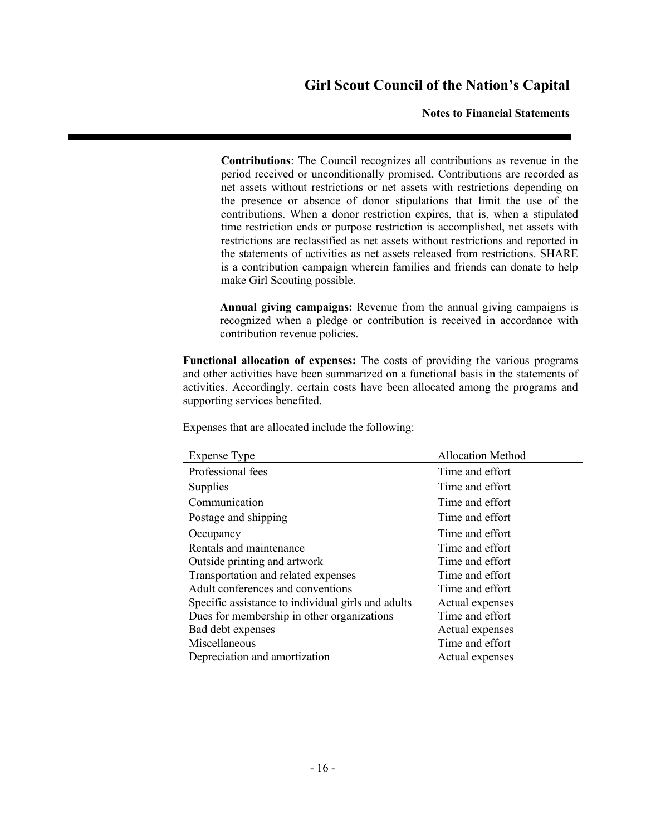**Notes to Financial Statements**

**Contributions**: The Council recognizes all contributions as revenue in the period received or unconditionally promised. Contributions are recorded as net assets without restrictions or net assets with restrictions depending on the presence or absence of donor stipulations that limit the use of the contributions. When a donor restriction expires, that is, when a stipulated time restriction ends or purpose restriction is accomplished, net assets with restrictions are reclassified as net assets without restrictions and reported in the statements of activities as net assets released from restrictions. SHARE is a contribution campaign wherein families and friends can donate to help make Girl Scouting possible.

**Annual giving campaigns:** Revenue from the annual giving campaigns is recognized when a pledge or contribution is received in accordance with contribution revenue policies.

**Functional allocation of expenses:** The costs of providing the various programs and other activities have been summarized on a functional basis in the statements of activities. Accordingly, certain costs have been allocated among the programs and supporting services benefited.

Expenses that are allocated include the following:

| <b>Expense Type</b>                                | <b>Allocation Method</b> |
|----------------------------------------------------|--------------------------|
| Professional fees                                  | Time and effort          |
| Supplies                                           | Time and effort          |
| Communication                                      | Time and effort          |
| Postage and shipping                               | Time and effort          |
| Occupancy                                          | Time and effort          |
| Rentals and maintenance                            | Time and effort          |
| Outside printing and artwork                       | Time and effort          |
| Transportation and related expenses                | Time and effort          |
| Adult conferences and conventions                  | Time and effort          |
| Specific assistance to individual girls and adults | Actual expenses          |
| Dues for membership in other organizations         | Time and effort          |
| Bad debt expenses                                  | Actual expenses          |
| Miscellaneous                                      | Time and effort          |
| Depreciation and amortization                      | Actual expenses          |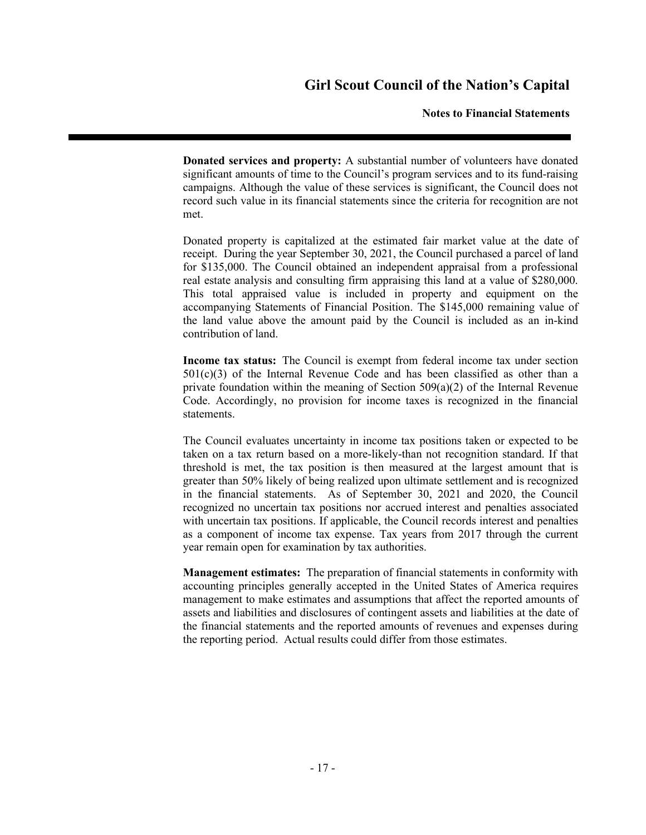#### **Notes to Financial Statements**

**Donated services and property:** A substantial number of volunteers have donated significant amounts of time to the Council's program services and to its fund-raising campaigns. Although the value of these services is significant, the Council does not record such value in its financial statements since the criteria for recognition are not met.

Donated property is capitalized at the estimated fair market value at the date of receipt. During the year September 30, 2021, the Council purchased a parcel of land for \$135,000. The Council obtained an independent appraisal from a professional real estate analysis and consulting firm appraising this land at a value of \$280,000. This total appraised value is included in property and equipment on the accompanying Statements of Financial Position. The \$145,000 remaining value of the land value above the amount paid by the Council is included as an in-kind contribution of land.

**Income tax status:** The Council is exempt from federal income tax under section  $501(c)(3)$  of the Internal Revenue Code and has been classified as other than a private foundation within the meaning of Section  $509(a)(2)$  of the Internal Revenue Code. Accordingly, no provision for income taxes is recognized in the financial statements.

The Council evaluates uncertainty in income tax positions taken or expected to be taken on a tax return based on a more-likely-than not recognition standard. If that threshold is met, the tax position is then measured at the largest amount that is greater than 50% likely of being realized upon ultimate settlement and is recognized in the financial statements. As of September 30, 2021 and 2020, the Council recognized no uncertain tax positions nor accrued interest and penalties associated with uncertain tax positions. If applicable, the Council records interest and penalties as a component of income tax expense. Tax years from 2017 through the current year remain open for examination by tax authorities.

**Management estimates:** The preparation of financial statements in conformity with accounting principles generally accepted in the United States of America requires management to make estimates and assumptions that affect the reported amounts of assets and liabilities and disclosures of contingent assets and liabilities at the date of the financial statements and the reported amounts of revenues and expenses during the reporting period. Actual results could differ from those estimates.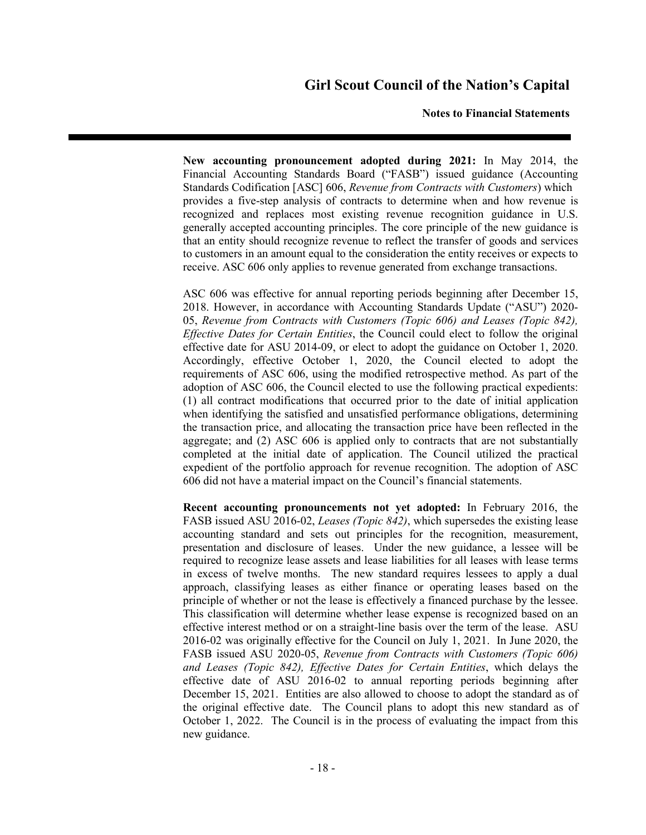#### **Notes to Financial Statements**

**New accounting pronouncement adopted during 2021:** In May 2014, the Financial Accounting Standards Board ("FASB") issued guidance (Accounting Standards Codification [ASC] 606, *Revenue from Contracts with Customers*) which provides a five-step analysis of contracts to determine when and how revenue is recognized and replaces most existing revenue recognition guidance in U.S. generally accepted accounting principles. The core principle of the new guidance is that an entity should recognize revenue to reflect the transfer of goods and services to customers in an amount equal to the consideration the entity receives or expects to receive. ASC 606 only applies to revenue generated from exchange transactions.

ASC 606 was effective for annual reporting periods beginning after December 15, 2018. However, in accordance with Accounting Standards Update ("ASU") 2020- 05, *Revenue from Contracts with Customers (Topic 606) and Leases (Topic 842), Effective Dates for Certain Entities*, the Council could elect to follow the original effective date for ASU 2014-09, or elect to adopt the guidance on October 1, 2020. Accordingly, effective October 1, 2020, the Council elected to adopt the requirements of ASC 606, using the modified retrospective method. As part of the adoption of ASC 606, the Council elected to use the following practical expedients: (1) all contract modifications that occurred prior to the date of initial application when identifying the satisfied and unsatisfied performance obligations, determining the transaction price, and allocating the transaction price have been reflected in the aggregate; and (2) ASC 606 is applied only to contracts that are not substantially completed at the initial date of application. The Council utilized the practical expedient of the portfolio approach for revenue recognition. The adoption of ASC 606 did not have a material impact on the Council's financial statements.

**Recent accounting pronouncements not yet adopted:** In February 2016, the FASB issued ASU 2016-02, *Leases (Topic 842)*, which supersedes the existing lease accounting standard and sets out principles for the recognition, measurement, presentation and disclosure of leases. Under the new guidance, a lessee will be required to recognize lease assets and lease liabilities for all leases with lease terms in excess of twelve months. The new standard requires lessees to apply a dual approach, classifying leases as either finance or operating leases based on the principle of whether or not the lease is effectively a financed purchase by the lessee. This classification will determine whether lease expense is recognized based on an effective interest method or on a straight-line basis over the term of the lease. ASU 2016-02 was originally effective for the Council on July 1, 2021. In June 2020, the FASB issued ASU 2020-05, *Revenue from Contracts with Customers (Topic 606) and Leases (Topic 842), Effective Dates for Certain Entities*, which delays the effective date of ASU 2016-02 to annual reporting periods beginning after December 15, 2021. Entities are also allowed to choose to adopt the standard as of the original effective date. The Council plans to adopt this new standard as of October 1, 2022. The Council is in the process of evaluating the impact from this new guidance.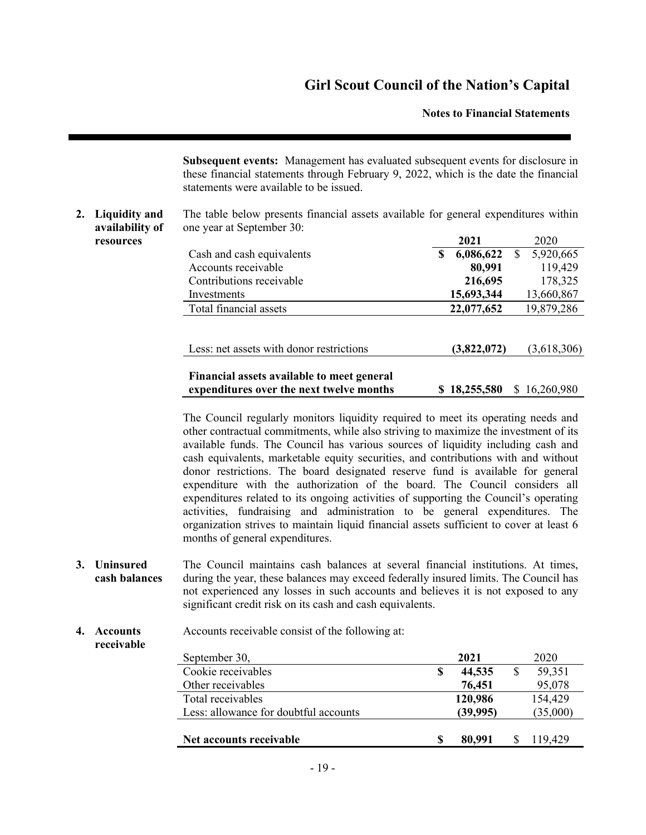**Notes to Financial Statements**

**Subsequent events:** Management has evaluated subsequent events for disclosure in these financial statements through February 9, 2022, which is the date the financial statements were available to be issued.

#### **2. Liquidity and availability of** The table below presents financial assets available for general expenditures within one year at September 30: **resources 2021** 2020

|                                                                                        | $\sim$ $\sim$ $\sim$ | 2U2U                  |
|----------------------------------------------------------------------------------------|----------------------|-----------------------|
| Cash and cash equivalents                                                              | 6,086,622<br>S       | 5,920,665<br><b>S</b> |
| Accounts receivable                                                                    | 80,991               | 119,429               |
| Contributions receivable                                                               | 216,695              | 178,325               |
| Investments                                                                            | 15,693,344           | 13,660,867            |
| Total financial assets                                                                 | 22,077,652           | 19,879,286            |
|                                                                                        |                      |                       |
| Less: net assets with donor restrictions                                               | (3,822,072)          | (3,618,306)           |
| Financial assets available to meet general<br>expenditures over the next twelve months | \$18,255,580         | \$16,260,980          |

The Council regularly monitors liquidity required to meet its operating needs and other contractual commitments, while also striving to maximize the investment of its available funds. The Council has various sources of liquidity including cash and cash equivalents, marketable equity securities, and contributions with and without donor restrictions. The board designated reserve fund is available for general expenditure with the authorization of the board. The Council considers all expenditures related to its ongoing activities of supporting the Council's operating activities, fundraising and administration to be general expenditures. The organization strives to maintain liquid financial assets sufficient to cover at least 6 months of general expenditures.

**3. Uninsured cash balances** The Council maintains cash balances at several financial institutions. At times, during the year, these balances may exceed federally insured limits. The Council has not experienced any losses in such accounts and believes it is not exposed to any significant credit risk on its cash and cash equivalents.

#### **4. Accounts** Accounts receivable consist of the following at: **receivable**

| September 30,                         |   | 2021     | 2020     |
|---------------------------------------|---|----------|----------|
| Cookie receivables                    | S | 44,535   | 59,351   |
| Other receivables                     |   | 76,451   | 95,078   |
| Total receivables                     |   | 120,986  | 154,429  |
| Less: allowance for doubtful accounts |   | (39,995) | (35,000) |
|                                       |   |          |          |
| Net accounts receivable               | S | 80,991   | 119,429  |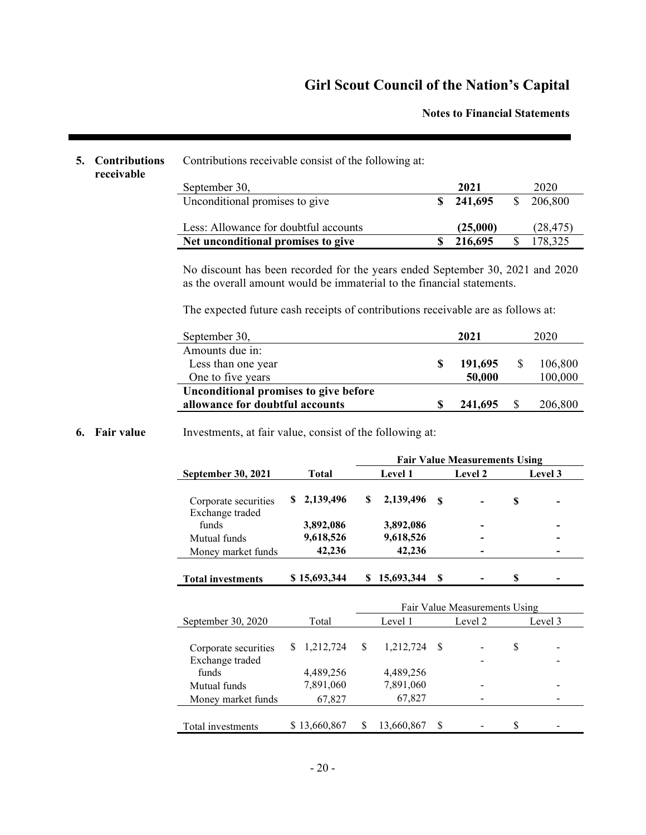#### **Notes to Financial Statements**

### **5.** Contribution

| receivable |  |
|------------|--|
|            |  |
|            |  |

| ns |  |  |  | Contributions receivable consist of the following at: |  |
|----|--|--|--|-------------------------------------------------------|--|
|----|--|--|--|-------------------------------------------------------|--|

| September 30,                         | 2021     |    | 2020      |
|---------------------------------------|----------|----|-----------|
| Unconditional promises to give        | 241.695  | -S | 206,800   |
| Less: Allowance for doubtful accounts | (25,000) |    | (28, 475) |
| Net unconditional promises to give    | 216,695  |    | 178,325   |

No discount has been recorded for the years ended September 30, 2021 and 2020 as the overall amount would be immaterial to the financial statements.

The expected future cash receipts of contributions receivable are as follows at:

| September 30,                         | 2021 |         |  | 2020    |  |  |
|---------------------------------------|------|---------|--|---------|--|--|
| Amounts due in:                       |      |         |  |         |  |  |
| Less than one year                    | -S   | 191,695 |  | 106,800 |  |  |
| One to five years                     |      | 50,000  |  | 100,000 |  |  |
| Unconditional promises to give before |      |         |  |         |  |  |
| allowance for doubtful accounts       |      | 241,695 |  | 206,800 |  |  |

#### **6. Fair value** Investments, at fair value, consist of the following at:

|                                         |              |         |            |      | <b>Fair Value Measurements Using</b> |    |         |
|-----------------------------------------|--------------|---------|------------|------|--------------------------------------|----|---------|
| <b>September 30, 2021</b>               | <b>Total</b> | Level 1 |            |      | <b>Level 2</b>                       |    | Level 3 |
| Corporate securities<br>Exchange traded | \$2,139,496  | S       | 2,139,496  | - \$ |                                      | \$ |         |
| funds                                   | 3,892,086    |         | 3,892,086  |      |                                      |    |         |
| Mutual funds                            | 9,618,526    |         | 9,618,526  |      |                                      |    |         |
| Money market funds                      | 42,236       |         | 42,236     |      |                                      |    |         |
| <b>Total investments</b>                | \$15,693,344 |         | 15,693,344 | S    |                                      | S  |         |

|                      |              |   |            |    | Fair Value Measurements Using |   |         |
|----------------------|--------------|---|------------|----|-------------------------------|---|---------|
| September 30, 2020   | Total        |   | Level 1    |    | Level 2                       |   | Level 3 |
|                      |              |   |            |    |                               |   |         |
| Corporate securities | 1,212,724    | S | 1,212,724  | -S |                               | S |         |
| Exchange traded      |              |   |            |    |                               |   |         |
| funds                | 4,489,256    |   | 4,489,256  |    |                               |   |         |
| Mutual funds         | 7,891,060    |   | 7,891,060  |    |                               |   |         |
| Money market funds   | 67,827       |   | 67,827     |    |                               |   |         |
|                      |              |   |            |    |                               |   |         |
| Total investments    | \$13,660,867 |   | 13,660,867 | S  |                               | S |         |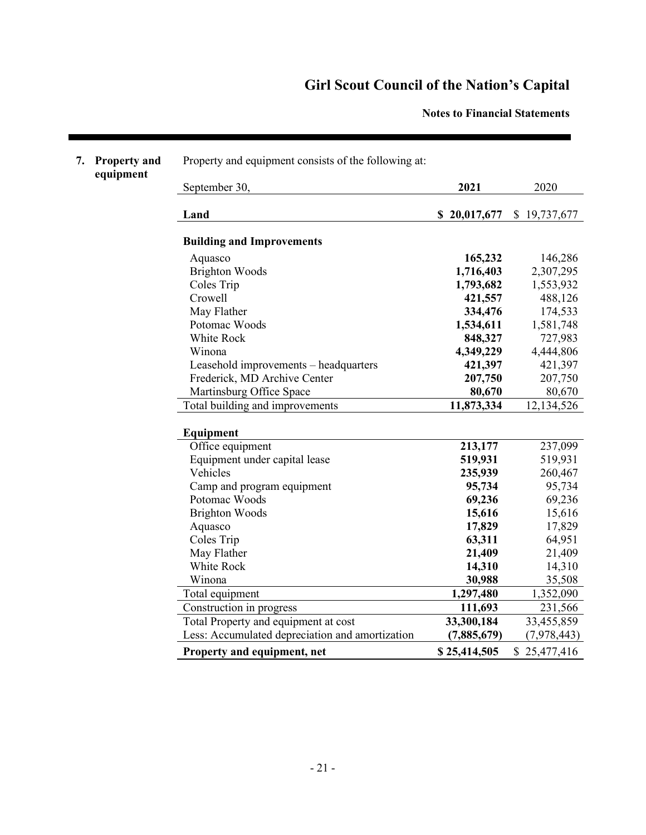**Notes to Financial Statements**

| 7. | <b>Property and</b><br>equipment | Property and equipment consists of the following at: |              |              |
|----|----------------------------------|------------------------------------------------------|--------------|--------------|
|    |                                  | September 30,                                        | 2021         | 2020         |
|    |                                  | Land                                                 | \$20,017,677 | \$19,737,677 |
|    |                                  | <b>Building and Improvements</b>                     |              |              |
|    |                                  | Aquasco                                              | 165,232      | 146,286      |
|    |                                  | <b>Brighton Woods</b>                                | 1,716,403    | 2,307,295    |
|    |                                  | Coles Trip                                           | 1,793,682    | 1,553,932    |
|    |                                  | Crowell                                              | 421,557      | 488,126      |
|    |                                  | May Flather                                          | 334,476      | 174,533      |
|    |                                  | Potomac Woods                                        | 1,534,611    | 1,581,748    |
|    |                                  | White Rock                                           | 848,327      | 727,983      |
|    |                                  | Winona                                               | 4,349,229    | 4,444,806    |
|    |                                  | Leasehold improvements - headquarters                | 421,397      | 421,397      |
|    |                                  | Frederick, MD Archive Center                         | 207,750      | 207,750      |
|    |                                  | Martinsburg Office Space                             | 80,670       | 80,670       |
|    |                                  | Total building and improvements                      | 11,873,334   | 12,134,526   |
|    |                                  | Equipment                                            |              |              |
|    |                                  | Office equipment                                     | 213,177      | 237,099      |
|    |                                  | Equipment under capital lease                        | 519,931      | 519,931      |
|    |                                  | Vehicles                                             | 235,939      | 260,467      |
|    |                                  | Camp and program equipment                           | 95,734       | 95,734       |
|    |                                  | Potomac Woods                                        | 69,236       | 69,236       |
|    |                                  | <b>Brighton Woods</b>                                | 15,616       | 15,616       |
|    |                                  | Aquasco                                              | 17,829       | 17,829       |
|    |                                  | Coles Trip                                           | 63,311       | 64,951       |
|    |                                  | May Flather                                          | 21,409       | 21,409       |
|    |                                  | White Rock                                           | 14,310       | 14,310       |
|    |                                  | Winona                                               | 30,988       | 35,508       |
|    |                                  | Total equipment                                      | 1,297,480    | 1,352,090    |
|    |                                  | Construction in progress                             | 111,693      | 231,566      |
|    |                                  | Total Property and equipment at cost                 | 33,300,184   | 33,455,859   |
|    |                                  | Less: Accumulated depreciation and amortization      | (7,885,679)  | (7,978,443)  |
|    |                                  | Property and equipment, net                          | \$25,414,505 | \$25,477,416 |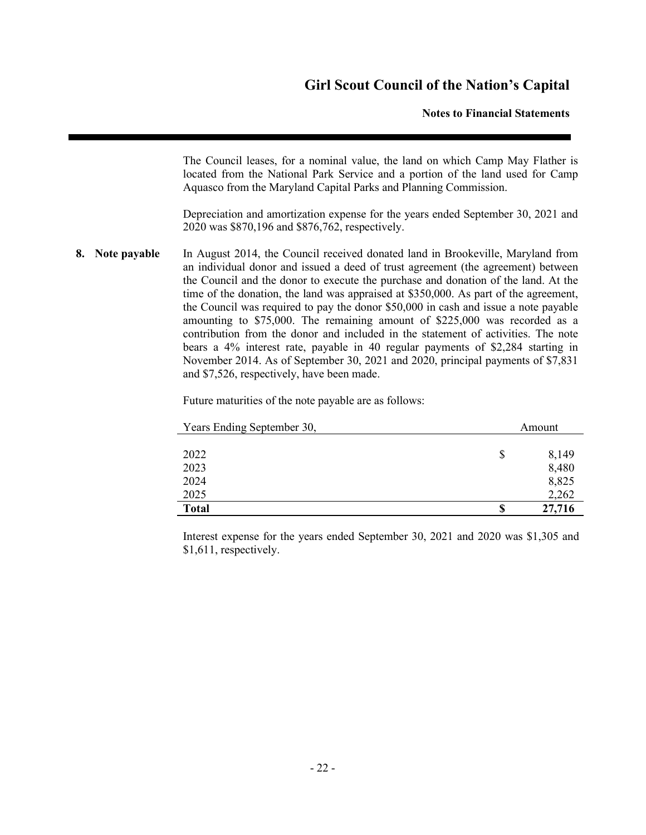#### **Notes to Financial Statements**

The Council leases, for a nominal value, the land on which Camp May Flather is located from the National Park Service and a portion of the land used for Camp Aquasco from the Maryland Capital Parks and Planning Commission.

Depreciation and amortization expense for the years ended September 30, 2021 and 2020 was \$870,196 and \$876,762, respectively.

**8. Note payable** In August 2014, the Council received donated land in Brookeville, Maryland from an individual donor and issued a deed of trust agreement (the agreement) between the Council and the donor to execute the purchase and donation of the land. At the time of the donation, the land was appraised at \$350,000. As part of the agreement, the Council was required to pay the donor \$50,000 in cash and issue a note payable amounting to \$75,000. The remaining amount of \$225,000 was recorded as a contribution from the donor and included in the statement of activities. The note bears a 4% interest rate, payable in 40 regular payments of \$2,284 starting in November 2014. As of September 30, 2021 and 2020, principal payments of \$7,831 and \$7,526, respectively, have been made.

Future maturities of the note payable are as follows:

| Years Ending September 30, |    | Amount         |
|----------------------------|----|----------------|
|                            |    |                |
| 2022<br>2023               | S  | 8,149<br>8,480 |
| 2024                       |    | 8,825          |
| 2025                       |    | 2,262          |
| <b>Total</b>               | \$ | 27,716         |

Interest expense for the years ended September 30, 2021 and 2020 was \$1,305 and \$1,611, respectively.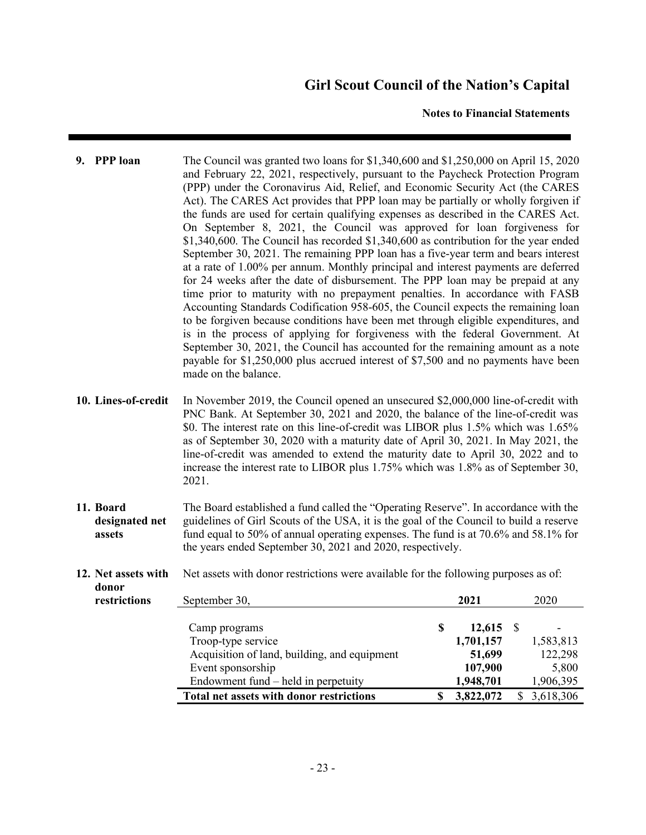#### **Notes to Financial Statements**

- **9. PPP loan** The Council was granted two loans for \$1,340,600 and \$1,250,000 on April 15, 2020 and February 22, 2021, respectively, pursuant to the Paycheck Protection Program (PPP) under the Coronavirus Aid, Relief, and Economic Security Act (the CARES Act). The CARES Act provides that PPP loan may be partially or wholly forgiven if the funds are used for certain qualifying expenses as described in the CARES Act. On September 8, 2021, the Council was approved for loan forgiveness for \$1,340,600. The Council has recorded \$1,340,600 as contribution for the year ended September 30, 2021. The remaining PPP loan has a five-year term and bears interest at a rate of 1.00% per annum. Monthly principal and interest payments are deferred for 24 weeks after the date of disbursement. The PPP loan may be prepaid at any time prior to maturity with no prepayment penalties. In accordance with FASB Accounting Standards Codification 958-605, the Council expects the remaining loan to be forgiven because conditions have been met through eligible expenditures, and is in the process of applying for forgiveness with the federal Government. At September 30, 2021, the Council has accounted for the remaining amount as a note payable for \$1,250,000 plus accrued interest of \$7,500 and no payments have been made on the balance.
- **10. Lines-of-credit** In November 2019, the Council opened an unsecured \$2,000,000 line-of-credit with PNC Bank. At September 30, 2021 and 2020, the balance of the line-of-credit was \$0. The interest rate on this line-of-credit was LIBOR plus 1.5% which was 1.65% as of September 30, 2020 with a maturity date of April 30, 2021. In May 2021, the line-of-credit was amended to extend the maturity date to April 30, 2022 and to increase the interest rate to LIBOR plus 1.75% which was 1.8% as of September 30, 2021.
- **11. Board designated net assets** The Board established a fund called the "Operating Reserve". In accordance with the guidelines of Girl Scouts of the USA, it is the goal of the Council to build a reserve fund equal to 50% of annual operating expenses. The fund is at 70.6% and 58.1% for the years ended September 30, 2021 and 2020, respectively.
- **12. Net assets with**  Net assets with donor restrictions were available for the following purposes as of:

**donor** 

| <br>restrictions | September 30,                                   | 2021      | 2020      |
|------------------|-------------------------------------------------|-----------|-----------|
|                  | Camp programs                                   | 12,615    |           |
|                  | Troop-type service                              | 1,701,157 | 1,583,813 |
|                  | Acquisition of land, building, and equipment    | 51,699    | 122,298   |
|                  | Event sponsorship                               | 107,900   | 5,800     |
|                  | Endowment fund $-$ held in perpetuity           | 1,948,701 | 1,906,395 |
|                  | <b>Total net assets with donor restrictions</b> | 3,822,072 | 3,618,306 |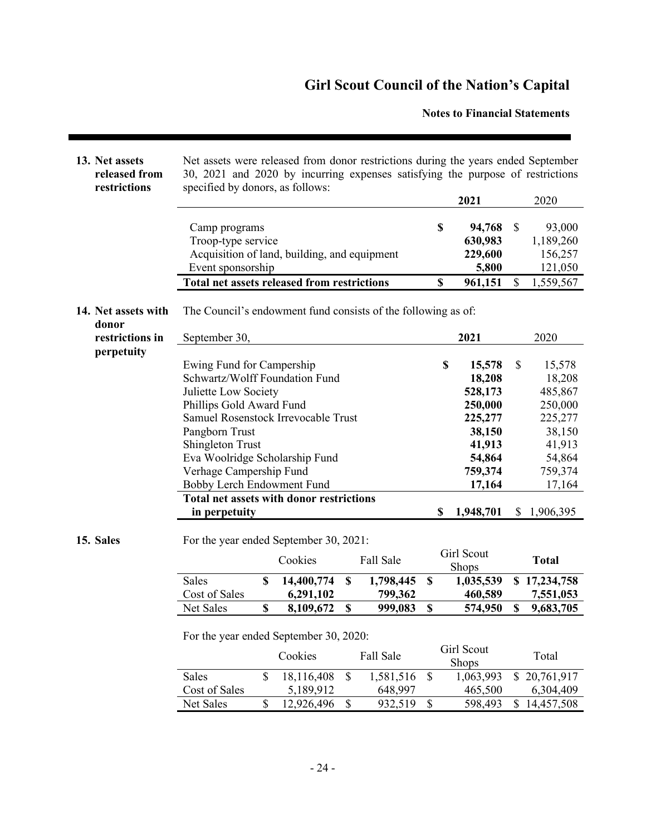**Notes to Financial Statements**

| 13. Net assets<br>released from<br>restrictions | Net assets were released from donor restrictions during the years ended September<br>30, 2021 and 2020 by incurring expenses satisfying the purpose of restrictions<br>specified by donors, as follows:                                                                                                                                                            |                               |               |                      |          |                                                                                                                   |                |                                                                                                                     |
|-------------------------------------------------|--------------------------------------------------------------------------------------------------------------------------------------------------------------------------------------------------------------------------------------------------------------------------------------------------------------------------------------------------------------------|-------------------------------|---------------|----------------------|----------|-------------------------------------------------------------------------------------------------------------------|----------------|---------------------------------------------------------------------------------------------------------------------|
|                                                 |                                                                                                                                                                                                                                                                                                                                                                    |                               |               |                      |          | 2021                                                                                                              |                | 2020                                                                                                                |
|                                                 | Camp programs<br>Troop-type service<br>Acquisition of land, building, and equipment<br>Event sponsorship                                                                                                                                                                                                                                                           |                               |               |                      | \$       | 94,768<br>630,983<br>229,600<br>5,800                                                                             | \$             | 93,000<br>1,189,260<br>156,257<br>121,050                                                                           |
|                                                 | <b>Total net assets released from restrictions</b>                                                                                                                                                                                                                                                                                                                 |                               |               |                      | \$       | 961,151                                                                                                           | \$             | 1,559,567                                                                                                           |
| 14. Net assets with<br>donor                    | The Council's endowment fund consists of the following as of:                                                                                                                                                                                                                                                                                                      |                               |               |                      |          |                                                                                                                   |                |                                                                                                                     |
| restrictions in                                 | September 30,                                                                                                                                                                                                                                                                                                                                                      |                               |               |                      |          | 2021                                                                                                              |                | 2020                                                                                                                |
| perpetuity                                      | Ewing Fund for Campership<br>Schwartz/Wolff Foundation Fund<br>Juliette Low Society<br>Phillips Gold Award Fund<br>Samuel Rosenstock Irrevocable Trust<br>Pangborn Trust<br><b>Shingleton Trust</b><br>Eva Woolridge Scholarship Fund<br>Verhage Campership Fund<br>Bobby Lerch Endowment Fund<br><b>Total net assets with donor restrictions</b><br>in perpetuity |                               |               |                      | \$<br>\$ | 15,578<br>18,208<br>528,173<br>250,000<br>225,277<br>38,150<br>41,913<br>54,864<br>759,374<br>17,164<br>1,948,701 | \$             | 15,578<br>18,208<br>485,867<br>250,000<br>225,277<br>38,150<br>41,913<br>54,864<br>759,374<br>17,164<br>\$1,906,395 |
|                                                 |                                                                                                                                                                                                                                                                                                                                                                    |                               |               |                      |          |                                                                                                                   |                |                                                                                                                     |
| 15. Sales                                       | For the year ended September 30, 2021:                                                                                                                                                                                                                                                                                                                             | Cookies                       |               | Fall Sale            |          | Girl Scout<br>Shops                                                                                               |                | <b>Total</b>                                                                                                        |
|                                                 | <b>Sales</b><br>Cost of Sales                                                                                                                                                                                                                                                                                                                                      | \$<br>14,400,774<br>6,291,102 | \$            | 1,798,445<br>799,362 | \$       | 1,035,539<br>460,589                                                                                              |                | \$17,234,758<br>7,551,053                                                                                           |
|                                                 | Net Sales                                                                                                                                                                                                                                                                                                                                                          | \$<br>8,109,672               | \$            | 999,083              | \$       | 574,950                                                                                                           | \$             | 9,683,705                                                                                                           |
|                                                 | For the year ended September 30, 2020:                                                                                                                                                                                                                                                                                                                             | Cookies                       |               | Fall Sale            |          | Girl Scout<br>Shops                                                                                               |                | Total                                                                                                               |
|                                                 | Sales                                                                                                                                                                                                                                                                                                                                                              | \$<br>18,116,408              | $\mathcal{S}$ | 1,581,516            | \$       | 1,063,993                                                                                                         | $\mathbb{S}^-$ | 20,761,917                                                                                                          |
|                                                 | Cost of Sales                                                                                                                                                                                                                                                                                                                                                      | 5,189,912                     |               | 648,997              |          | 465,500                                                                                                           |                | 6,304,409                                                                                                           |
|                                                 | Net Sales                                                                                                                                                                                                                                                                                                                                                          | \$<br>12,926,496              | $\mathcal{S}$ | 932,519              | \$       | 598,493                                                                                                           |                | \$14,457,508                                                                                                        |
|                                                 |                                                                                                                                                                                                                                                                                                                                                                    |                               |               |                      |          |                                                                                                                   |                |                                                                                                                     |

Ī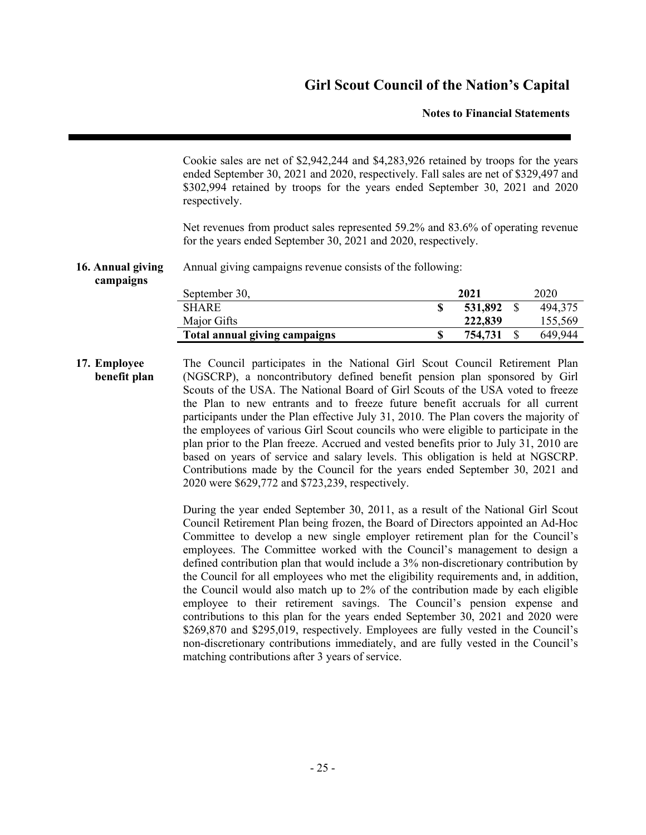#### **Notes to Financial Statements**

Cookie sales are net of \$2,942,244 and \$4,283,926 retained by troops for the years ended September 30, 2021 and 2020, respectively. Fall sales are net of \$329,497 and \$302,994 retained by troops for the years ended September 30, 2021 and 2020 respectively.

Net revenues from product sales represented 59.2% and 83.6% of operating revenue for the years ended September 30, 2021 and 2020, respectively.

#### **16. Annual giving** Annual giving campaigns revenue consists of the following:

**campaigns**

| September 30,                 | 2021    | 2020    |
|-------------------------------|---------|---------|
| <b>SHARE</b>                  | 531,892 | 494,375 |
| Major Gifts                   | 222,839 | 155,569 |
| Total annual giving campaigns | 754.731 | 649.944 |

**17. Employee benefit plan** The Council participates in the National Girl Scout Council Retirement Plan (NGSCRP), a noncontributory defined benefit pension plan sponsored by Girl Scouts of the USA. The National Board of Girl Scouts of the USA voted to freeze the Plan to new entrants and to freeze future benefit accruals for all current participants under the Plan effective July 31, 2010. The Plan covers the majority of the employees of various Girl Scout councils who were eligible to participate in the plan prior to the Plan freeze. Accrued and vested benefits prior to July 31, 2010 are based on years of service and salary levels. This obligation is held at NGSCRP. Contributions made by the Council for the years ended September 30, 2021 and 2020 were \$629,772 and \$723,239, respectively.

> During the year ended September 30, 2011, as a result of the National Girl Scout Council Retirement Plan being frozen, the Board of Directors appointed an Ad-Hoc Committee to develop a new single employer retirement plan for the Council's employees. The Committee worked with the Council's management to design a defined contribution plan that would include a 3% non-discretionary contribution by the Council for all employees who met the eligibility requirements and, in addition, the Council would also match up to 2% of the contribution made by each eligible employee to their retirement savings. The Council's pension expense and contributions to this plan for the years ended September 30, 2021 and 2020 were \$269,870 and \$295,019, respectively. Employees are fully vested in the Council's non-discretionary contributions immediately, and are fully vested in the Council's matching contributions after 3 years of service.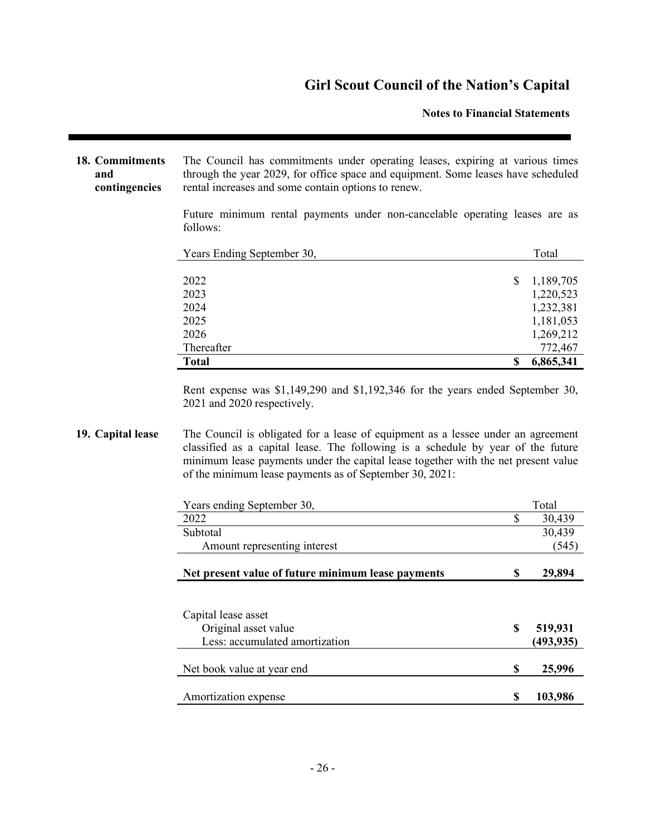#### **Notes to Financial Statements**

**18. Commitments and contingencies** The Council has commitments under operating leases, expiring at various times through the year 2029, for office space and equipment. Some leases have scheduled rental increases and some contain options to renew.

> Future minimum rental payments under non-cancelable operating leases are as follows:

| Years Ending September 30, | Total           |
|----------------------------|-----------------|
|                            |                 |
| 2022                       | \$<br>1,189,705 |
| 2023                       | 1,220,523       |
| 2024                       | 1,232,381       |
| 2025                       | 1,181,053       |
| 2026                       | 1,269,212       |
| Thereafter                 | 772,467         |
| <b>Total</b>               | \$<br>6,865,341 |

Rent expense was \$1,149,290 and \$1,192,346 for the years ended September 30, 2021 and 2020 respectively.

#### **19. Capital lease** The Council is obligated for a lease of equipment as a lessee under an agreement classified as a capital lease. The following is a schedule by year of the future minimum lease payments under the capital lease together with the net present value of the minimum lease payments as of September 30, 2021:

| Years ending September 30,                         |    | Total     |
|----------------------------------------------------|----|-----------|
| 2022                                               | \$ | 30,439    |
| Subtotal                                           |    | 30,439    |
| Amount representing interest                       |    | (545)     |
| Net present value of future minimum lease payments | S  | 29,894    |
|                                                    |    |           |
| Capital lease asset                                |    |           |
| Original asset value                               | S  | 519,931   |
| Less: accumulated amortization                     |    | (493,935) |
| Net book value at year end                         | \$ | 25,996    |
| Amortization expense                               | S  | 103,986   |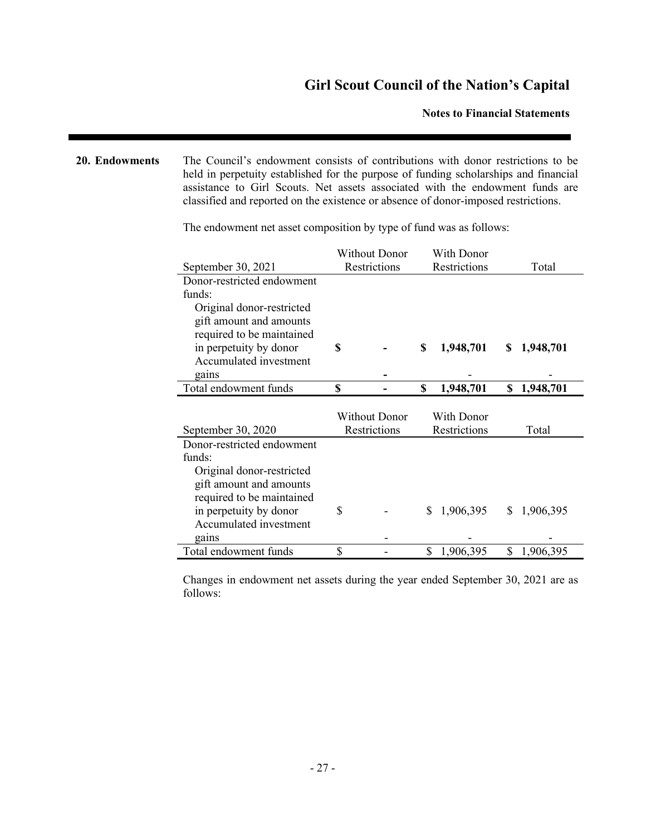**Notes to Financial Statements**

**20. Endowments** The Council's endowment consists of contributions with donor restrictions to be held in perpetuity established for the purpose of funding scholarships and financial assistance to Girl Scouts. Net assets associated with the endowment funds are classified and reported on the existence or absence of donor-imposed restrictions.

|                            |              | <b>Without Donor</b> |              | With Donor   |                 |  |
|----------------------------|--------------|----------------------|--------------|--------------|-----------------|--|
| September 30, 2021         | Restrictions |                      | Restrictions |              | Total           |  |
| Donor-restricted endowment |              |                      |              |              |                 |  |
| funds:                     |              |                      |              |              |                 |  |
| Original donor-restricted  |              |                      |              |              |                 |  |
| gift amount and amounts    |              |                      |              |              |                 |  |
| required to be maintained  |              |                      |              |              |                 |  |
| in perpetuity by donor     | \$           |                      | \$           | 1,948,701    | 1,948,701<br>S. |  |
| Accumulated investment     |              |                      |              |              |                 |  |
| gains                      |              |                      |              |              |                 |  |
| Total endowment funds      | \$           |                      | \$           | 1,948,701    | 1,948,701<br>\$ |  |
|                            |              |                      |              |              |                 |  |
|                            |              |                      |              |              |                 |  |
|                            |              | <b>Without Donor</b> |              | With Donor   |                 |  |
| September 30, 2020         |              | Restrictions         |              | Restrictions | Total           |  |
| Donor-restricted endowment |              |                      |              |              |                 |  |
| funds:                     |              |                      |              |              |                 |  |
| Original donor-restricted  |              |                      |              |              |                 |  |
| gift amount and amounts    |              |                      |              |              |                 |  |
| required to be maintained  |              |                      |              |              |                 |  |
| in perpetuity by donor     | \$           |                      | \$           | 1,906,395    | 1,906,395<br>\$ |  |
| Accumulated investment     |              |                      |              |              |                 |  |
| gains                      | \$           |                      |              |              |                 |  |

The endowment net asset composition by type of fund was as follows:

Changes in endowment net assets during the year ended September 30, 2021 are as follows: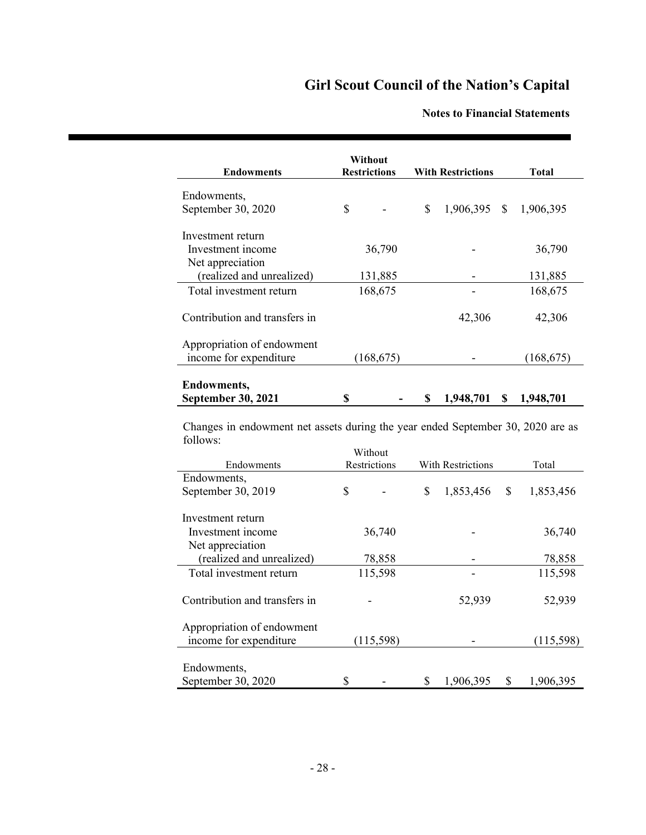### **Notes to Financial Statements**

| <b>Endowments</b>                                    | Without<br><b>Restrictions</b> |            | <b>With Restrictions</b> |                | <b>Total</b> |            |
|------------------------------------------------------|--------------------------------|------------|--------------------------|----------------|--------------|------------|
| Endowments,                                          |                                |            |                          |                |              |            |
| September 30, 2020                                   | \$                             |            | \$                       | $1,906,395$ \$ |              | 1,906,395  |
| Investment return                                    |                                |            |                          |                |              |            |
| Investment income                                    | 36,790                         |            |                          |                |              | 36,790     |
| Net appreciation                                     |                                |            |                          |                |              |            |
| (realized and unrealized)                            | 131,885                        |            |                          |                |              | 131,885    |
| Total investment return                              |                                | 168,675    |                          |                |              | 168,675    |
| Contribution and transfers in                        |                                |            |                          | 42,306         |              | 42,306     |
| Appropriation of endowment<br>income for expenditure |                                | (168, 675) |                          |                |              | (168, 675) |
| <b>Endowments,</b>                                   |                                |            |                          |                |              |            |
| <b>September 30, 2021</b>                            | \$                             |            | \$                       | 1,948,701      | S            | 1,948,701  |

Changes in endowment net assets during the year ended September 30, 2020 are as follows:

|                               | Without      |           |                   |           |       |           |  |
|-------------------------------|--------------|-----------|-------------------|-----------|-------|-----------|--|
| Endowments                    | Restrictions |           | With Restrictions |           | Total |           |  |
| Endowments,                   |              |           |                   |           |       |           |  |
| September 30, 2019            | \$           |           | \$                | 1,853,456 | \$    | 1,853,456 |  |
|                               |              |           |                   |           |       |           |  |
| Investment return             |              |           |                   |           |       |           |  |
| Investment income             | 36,740       |           |                   |           |       | 36,740    |  |
| Net appreciation              |              |           |                   |           |       |           |  |
| (realized and unrealized)     | 78,858       |           |                   |           |       | 78,858    |  |
| Total investment return       |              | 115,598   |                   |           |       | 115,598   |  |
|                               |              |           |                   |           |       |           |  |
| Contribution and transfers in |              |           |                   | 52,939    |       | 52,939    |  |
| Appropriation of endowment    |              |           |                   |           |       |           |  |
| income for expenditure        |              | (115,598) |                   |           |       | (115,598) |  |
|                               |              |           |                   |           |       |           |  |
| Endowments,                   |              |           |                   |           |       |           |  |
| September 30, 2020            | \$           |           | \$                | 1,906,395 | \$    | 1,906,395 |  |